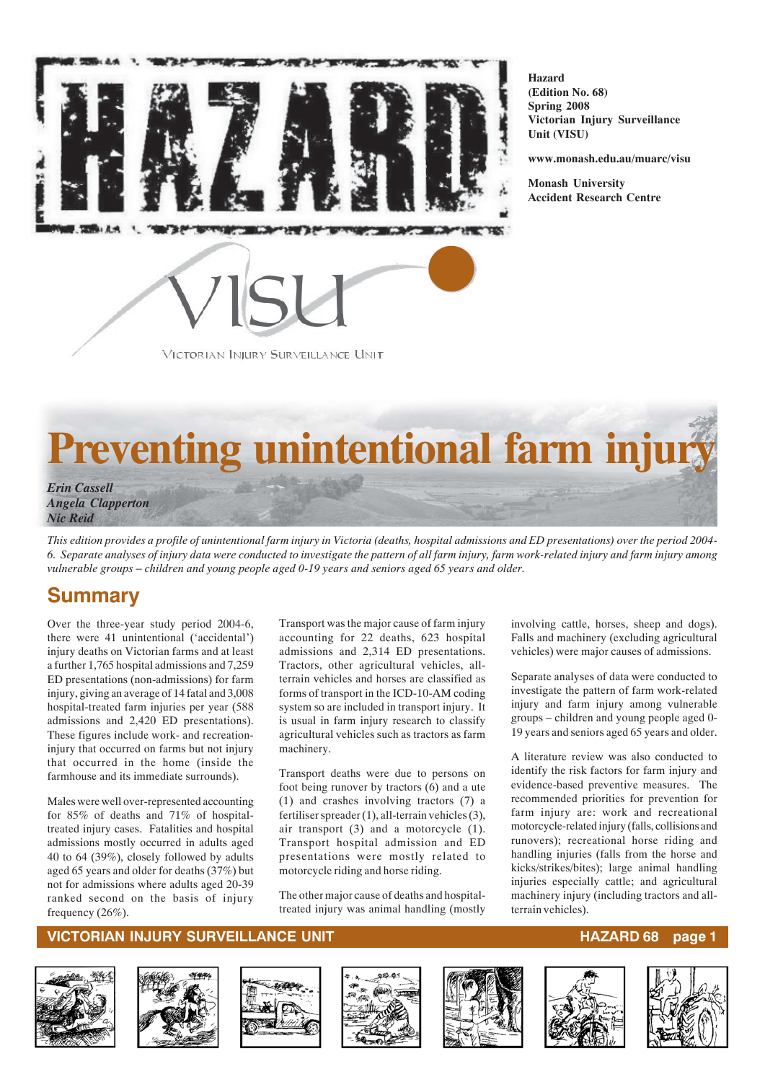

**Hazard (Edition No. 68) Spring 2008 Victorian Injury Surveillance Unit (VISU)**

**www.monash.edu.au/muarc/visu**

**Monash University Accident Research Centre**



# **Preventing unintentional farm injury**

*Erin Cassell Angela Clapperton Nic Reid*

*This edition provides a profile of unintentional farm injury in Victoria (deaths, hospital admissions and ED presentations) over the period 2004- 6. Separate analyses of injury data were conducted to investigate the pattern of all farm injury, farm work-related injury and farm injury among vulnerable groups – children and young people aged 0-19 years and seniors aged 65 years and older.*

## **Summary**

Over the three-year study period 2004-6, there were 41 unintentional ('accidental') injury deaths on Victorian farms and at least a further 1,765 hospital admissions and 7,259 ED presentations (non-admissions) for farm injury, giving an average of 14 fatal and 3,008 hospital-treated farm injuries per year (588 admissions and 2,420 ED presentations). These figures include work- and recreationinjury that occurred on farms but not injury that occurred in the home (inside the farmhouse and its immediate surrounds).

Males were well over-represented accounting for 85% of deaths and 71% of hospitaltreated injury cases. Fatalities and hospital admissions mostly occurred in adults aged 40 to 64 (39%), closely followed by adults aged 65 years and older for deaths (37%) but not for admissions where adults aged 20-39 ranked second on the basis of injury frequency (26%).

Transport was the major cause of farm injury accounting for 22 deaths, 623 hospital admissions and 2,314 ED presentations. Tractors, other agricultural vehicles, allterrain vehicles and horses are classified as forms of transport in the ICD-10-AM coding system so are included in transport injury. It is usual in farm injury research to classify agricultural vehicles such as tractors as farm machinery.

Transport deaths were due to persons on foot being runover by tractors (6) and a ute (1) and crashes involving tractors (7) a fertiliser spreader (1), all-terrain vehicles (3), air transport (3) and a motorcycle (1). Transport hospital admission and ED presentations were mostly related to motorcycle riding and horse riding.

The other major cause of deaths and hospitaltreated injury was animal handling (mostly involving cattle, horses, sheep and dogs). Falls and machinery (excluding agricultural vehicles) were major causes of admissions.

Separate analyses of data were conducted to investigate the pattern of farm work-related injury and farm injury among vulnerable groups – children and young people aged 0- 19 years and seniors aged 65 years and older.

A literature review was also conducted to identify the risk factors for farm injury and evidence-based preventive measures. The recommended priorities for prevention for farm injury are: work and recreational motorcycle-related injury (falls, collisions and runovers); recreational horse riding and handling injuries (falls from the horse and kicks/strikes/bites); large animal handling injuries especially cattle; and agricultural machinery injury (including tractors and allterrain vehicles).













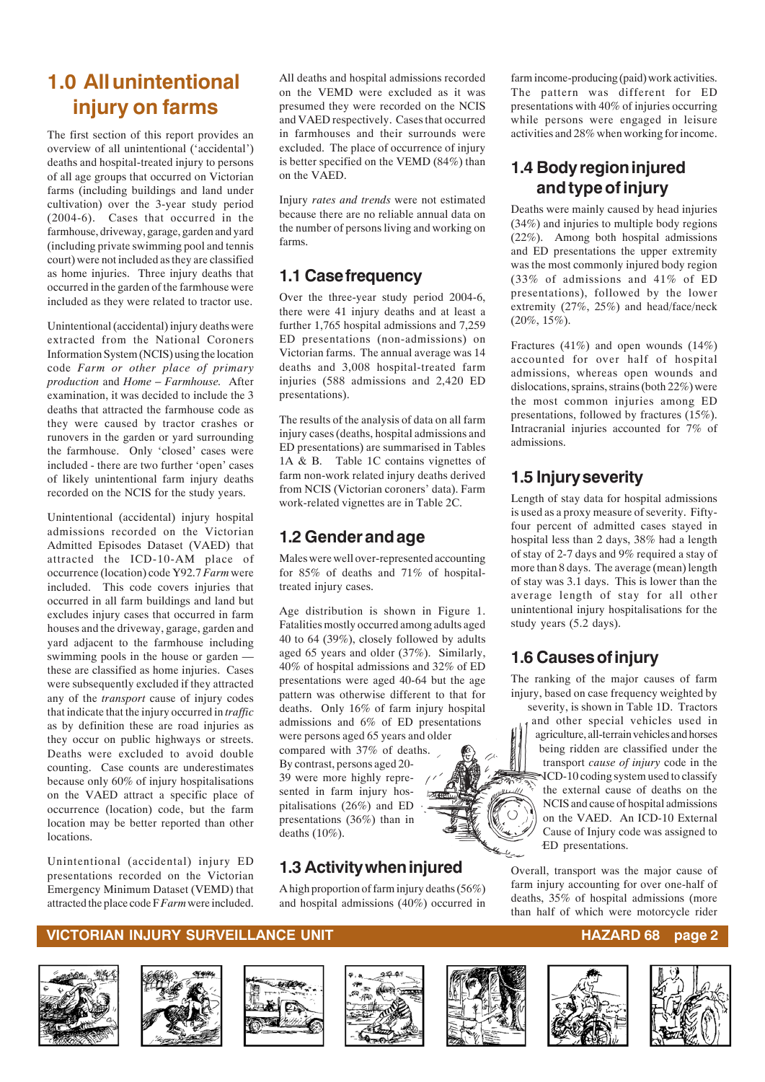## **1.0 All unintentional injury on farms**

The first section of this report provides an overview of all unintentional ('accidental') deaths and hospital-treated injury to persons of all age groups that occurred on Victorian farms (including buildings and land under cultivation) over the 3-year study period (2004-6). Cases that occurred in the farmhouse, driveway, garage, garden and yard (including private swimming pool and tennis court) were not included as they are classified as home injuries. Three injury deaths that occurred in the garden of the farmhouse were included as they were related to tractor use.

Unintentional (accidental) injury deaths were extracted from the National Coroners Information System (NCIS) using the location code *Farm or other place of primary production* and *Home – Farmhouse.* After examination, it was decided to include the 3 deaths that attracted the farmhouse code as they were caused by tractor crashes or runovers in the garden or yard surrounding the farmhouse. Only 'closed' cases were included - there are two further 'open' cases of likely unintentional farm injury deaths recorded on the NCIS for the study years.

Unintentional (accidental) injury hospital admissions recorded on the Victorian Admitted Episodes Dataset (VAED) that attracted the ICD-10-AM place of occurrence (location) code Y92.7 *Farm* were included. This code covers injuries that occurred in all farm buildings and land but excludes injury cases that occurred in farm houses and the driveway, garage, garden and yard adjacent to the farmhouse including swimming pools in the house or garden these are classified as home injuries. Cases were subsequently excluded if they attracted any of the *transport* cause of injury codes that indicate that the injury occurred in *traffic* as by definition these are road injuries as they occur on public highways or streets. Deaths were excluded to avoid double counting. Case counts are underestimates because only 60% of injury hospitalisations on the VAED attract a specific place of occurrence (location) code, but the farm location may be better reported than other locations.

Unintentional (accidental) injury ED presentations recorded on the Victorian Emergency Minimum Dataset (VEMD) that attracted the place code F *Farm* were included.

All deaths and hospital admissions recorded on the VEMD were excluded as it was presumed they were recorded on the NCIS and VAED respectively. Cases that occurred in farmhouses and their surrounds were excluded. The place of occurrence of injury is better specified on the VEMD (84%) than on the VAED.

Injury *rates and trends* were not estimated because there are no reliable annual data on the number of persons living and working on farms.

## **1.1 Case frequency**

Over the three-year study period 2004-6, there were 41 injury deaths and at least a further 1,765 hospital admissions and 7,259 ED presentations (non-admissions) on Victorian farms. The annual average was 14 deaths and 3,008 hospital-treated farm injuries (588 admissions and 2,420 ED presentations).

The results of the analysis of data on all farm injury cases (deaths, hospital admissions and ED presentations) are summarised in Tables 1A & B. Table 1C contains vignettes of farm non-work related injury deaths derived from NCIS (Victorian coroners' data). Farm work-related vignettes are in Table 2C.

## **1.2 Gender and age**

Males were well over-represented accounting for 85% of deaths and 71% of hospitaltreated injury cases.

Age distribution is shown in Figure 1. Fatalities mostly occurred among adults aged 40 to 64 (39%), closely followed by adults aged 65 years and older (37%). Similarly, 40% of hospital admissions and 32% of ED presentations were aged 40-64 but the age pattern was otherwise different to that for deaths. Only 16% of farm injury hospital admissions and 6% of ED presentations were persons aged 65 years and older compared with 37% of deaths. By contrast, persons aged 20- 39 were more highly represented in farm injury hospitalisations (26%) and ED presentations (36%) than in deaths (10%).

## **1.3 Activity when injured**

A high proportion of farm injury deaths (56%) and hospital admissions (40%) occurred in

farm income-producing (paid) work activities. The pattern was different for ED presentations with 40% of injuries occurring while persons were engaged in leisure activities and 28% when working for income.

## **1.4 Body region injured and type of injury**

Deaths were mainly caused by head injuries (34%) and injuries to multiple body regions (22%). Among both hospital admissions and ED presentations the upper extremity was the most commonly injured body region (33% of admissions and 41% of ED presentations), followed by the lower extremity (27%, 25%) and head/face/neck  $(20\%, 15\%).$ 

Fractures (41%) and open wounds (14%) accounted for over half of hospital admissions, whereas open wounds and dislocations, sprains, strains (both 22%) were the most common injuries among ED presentations, followed by fractures (15%). Intracranial injuries accounted for 7% of admissions.

## **1.5 Injury severity**

Length of stay data for hospital admissions is used as a proxy measure of severity. Fiftyfour percent of admitted cases stayed in hospital less than 2 days, 38% had a length of stay of 2-7 days and 9% required a stay of more than 8 days. The average (mean) length of stay was 3.1 days. This is lower than the average length of stay for all other unintentional injury hospitalisations for the study years (5.2 days).

## **1.6 Causes of injury**

The ranking of the major causes of farm injury, based on case frequency weighted by

severity, is shown in Table 1D. Tractors and other special vehicles used in agriculture, all-terrain vehicles and horses being ridden are classified under the transport *cause of injury* code in the ICD-10 coding system used to classify š, the external cause of deaths on the NCIS and cause of hospital admissions on the VAED. An ICD-10 External Cause of Injury code was assigned to ED presentations.

Overall, transport was the major cause of farm injury accounting for over one-half of deaths, 35% of hospital admissions (more than half of which were motorcycle rider













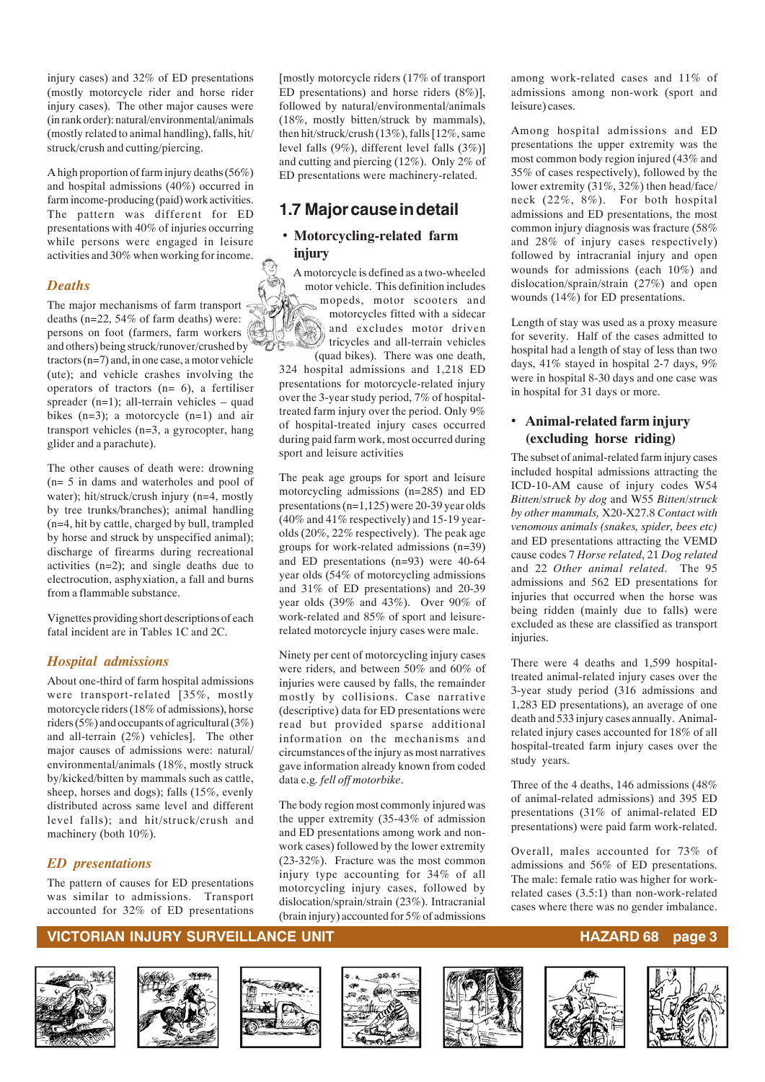injury cases) and 32% of ED presentations (mostly motorcycle rider and horse rider injury cases). The other major causes were (in rank order): natural/environmental/animals (mostly related to animal handling), falls, hit/ struck/crush and cutting/piercing.

A high proportion of farm injury deaths (56%) and hospital admissions (40%) occurred in farm income-producing (paid) work activities. The pattern was different for ED presentations with 40% of injuries occurring while persons were engaged in leisure activities and 30% when working for income.

#### *Deaths*

The major mechanisms of farm transport deaths (n=22, 54% of farm deaths) were: persons on foot (farmers, farm workers and others) being struck/runover/crushed by tractors (n=7) and, in one case, a motor vehicle (ute); and vehicle crashes involving the operators of tractors  $(n= 6)$ , a fertiliser spreader  $(n=1)$ ; all-terrain vehicles – quad bikes  $(n=3)$ ; a motorcycle  $(n=1)$  and air transport vehicles (n=3, a gyrocopter, hang glider and a parachute).

The other causes of death were: drowning (n= 5 in dams and waterholes and pool of water); hit/struck/crush injury (n=4, mostly by tree trunks/branches); animal handling (n=4, hit by cattle, charged by bull, trampled by horse and struck by unspecified animal); discharge of firearms during recreational activities (n=2); and single deaths due to electrocution, asphyxiation, a fall and burns from a flammable substance.

Vignettes providing short descriptions of each fatal incident are in Tables 1C and 2C.

#### *Hospital admissions*

About one-third of farm hospital admissions were transport-related [35%, mostly motorcycle riders (18% of admissions), horse riders (5%) and occupants of agricultural (3%) and all-terrain (2%) vehicles]. The other major causes of admissions were: natural/ environmental/animals (18%, mostly struck by/kicked/bitten by mammals such as cattle, sheep, horses and dogs); falls (15%, evenly distributed across same level and different level falls); and hit/struck/crush and machinery (both 10%).

#### *ED presentations*

The pattern of causes for ED presentations was similar to admissions. Transport accounted for 32% of ED presentations

[mostly motorcycle riders (17% of transport ED presentations) and horse riders (8%)], followed by natural/environmental/animals (18%, mostly bitten/struck by mammals), then hit/struck/crush (13%), falls [12%, same level falls (9%), different level falls (3%)] and cutting and piercing (12%). Only 2% of ED presentations were machinery-related.

### **1.7 Major cause in detail**

#### *•* **Motorcycling-related farm injury**

A motorcycle is defined as a two-wheeled motor vehicle. This definition includes mopeds, motor scooters and motorcycles fitted with a sidecar and excludes motor driven tricycles and all-terrain vehicles (quad bikes). There was one death,

324 hospital admissions and 1,218 ED presentations for motorcycle-related injury over the 3-year study period, 7% of hospitaltreated farm injury over the period. Only 9% of hospital-treated injury cases occurred during paid farm work, most occurred during sport and leisure activities

The peak age groups for sport and leisure motorcycling admissions (n=285) and ED presentations (n=1,125) were 20-39 year olds  $(40\%$  and  $41\%$  respectively) and 15-19 yearolds (20%, 22% respectively). The peak age groups for work-related admissions (n=39) and ED presentations (n=93) were 40-64 year olds (54% of motorcycling admissions and 31% of ED presentations) and 20-39 year olds (39% and 43%). Over 90% of work-related and 85% of sport and leisurerelated motorcycle injury cases were male.

Ninety per cent of motorcycling injury cases were riders, and between 50% and 60% of injuries were caused by falls, the remainder mostly by collisions. Case narrative (descriptive) data for ED presentations were read but provided sparse additional information on the mechanisms and circumstances of the injury as most narratives gave information already known from coded data e.g*. fell off motorbike*.

The body region most commonly injured was the upper extremity (35-43% of admission and ED presentations among work and nonwork cases) followed by the lower extremity (23-32%). Fracture was the most common injury type accounting for 34% of all motorcycling injury cases, followed by dislocation/sprain/strain (23%). Intracranial (brain injury) accounted for 5% of admissions

among work-related cases and 11% of admissions among non-work (sport and leisure) cases.

Among hospital admissions and ED presentations the upper extremity was the most common body region injured (43% and 35% of cases respectively), followed by the lower extremity (31%, 32%) then head/face/ neck (22%, 8%). For both hospital admissions and ED presentations, the most common injury diagnosis was fracture (58% and 28% of injury cases respectively) followed by intracranial injury and open wounds for admissions (each 10%) and dislocation/sprain/strain (27%) and open wounds (14%) for ED presentations.

Length of stay was used as a proxy measure for severity. Half of the cases admitted to hospital had a length of stay of less than two days, 41% stayed in hospital 2-7 days, 9% were in hospital 8-30 days and one case was in hospital for 31 days or more.

#### *•* **Animal-related farm injury (excluding horse riding)**

The subset of animal-related farm injury cases included hospital admissions attracting the ICD-10-AM cause of injury codes W54 *Bitten/struck by dog* and W55 *Bitten/struck by other mammals,* X20-X27.8 *Contact with venomous animals (snakes, spider, bees etc)* and ED presentations attracting the VEMD cause codes 7 *Horse related*, 21 *Dog related* and 22 *Other animal related*. The 95 admissions and 562 ED presentations for injuries that occurred when the horse was being ridden (mainly due to falls) were excluded as these are classified as transport injuries.

There were 4 deaths and 1,599 hospitaltreated animal-related injury cases over the 3-year study period (316 admissions and 1,283 ED presentations), an average of one death and 533 injury cases annually. Animalrelated injury cases accounted for 18% of all hospital-treated farm injury cases over the study years.

Three of the 4 deaths, 146 admissions (48% of animal-related admissions) and 395 ED presentations (31% of animal-related ED presentations) were paid farm work-related.

Overall, males accounted for 73% of admissions and 56% of ED presentations. The male: female ratio was higher for workrelated cases (3.5:1) than non-work-related cases where there was no gender imbalance.

#### **VICTORIAN INJURY SURVEILLANCE UNIT AND RESERVENT RESERVENT RESERVENTS ON A SERVERO SURVEILLANCE UNIT**













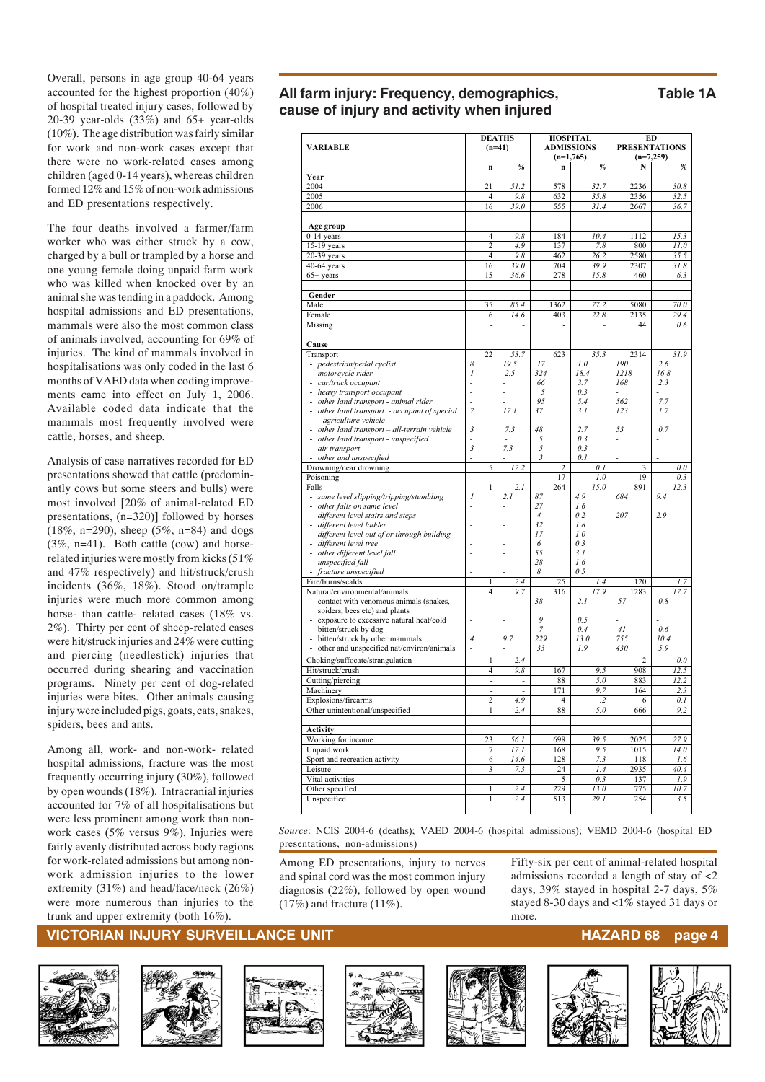Overall, persons in age group 40-64 years accounted for the highest proportion (40%) of hospital treated injury cases, followed by 20-39 year-olds (33%) and 65+ year-olds (10%). The age distribution was fairly similar for work and non-work cases except that there were no work-related cases among children (aged 0-14 years), whereas children formed 12% and 15% of non-work admissions and ED presentations respectively.

The four deaths involved a farmer/farm worker who was either struck by a cow, charged by a bull or trampled by a horse and one young female doing unpaid farm work who was killed when knocked over by an animal she was tending in a paddock. Among hospital admissions and ED presentations, mammals were also the most common class of animals involved, accounting for 69% of injuries. The kind of mammals involved in hospitalisations was only coded in the last 6 months of VAED data when coding improvements came into effect on July 1, 2006. Available coded data indicate that the mammals most frequently involved were cattle, horses, and sheep.

Analysis of case narratives recorded for ED presentations showed that cattle (predominantly cows but some steers and bulls) were most involved [20% of animal-related ED presentations, (n=320)] followed by horses (18%, n=290), sheep (5%, n=84) and dogs (3%, n=41). Both cattle (cow) and horserelated injuries were mostly from kicks (51% and 47% respectively) and hit/struck/crush incidents (36%, 18%). Stood on/trample injuries were much more common among horse- than cattle- related cases (18% vs. 2%). Thirty per cent of sheep-related cases were hit/struck injuries and 24% were cutting and piercing (needlestick) injuries that occurred during shearing and vaccination programs. Ninety per cent of dog-related injuries were bites. Other animals causing injury were included pigs, goats, cats, snakes, spiders, bees and ants.

Among all, work- and non-work- related hospital admissions, fracture was the most frequently occurring injury (30%), followed by open wounds (18%). Intracranial injuries accounted for 7% of all hospitalisations but were less prominent among work than nonwork cases (5% versus 9%). Injuries were fairly evenly distributed across body regions for work-related admissions but among nonwork admission injuries to the lower extremity (31%) and head/face/neck (26%) were more numerous than injuries to the trunk and upper extremity (both 16%).

### **All farm injury: Frequency, demographics, Table 1A cause of injury and activity when injured**

| <b>VARIABLE</b>                                                         |                | $(n=41)$                     | <b>DEATHS</b>            | <b>HOSPITAL</b><br><b>ADMISSIONS</b><br>$(n=1,765)$ |                | ED<br><b>PRESENTATIONS</b><br>$(n=7,259)$ |             |             |
|-------------------------------------------------------------------------|----------------|------------------------------|--------------------------|-----------------------------------------------------|----------------|-------------------------------------------|-------------|-------------|
|                                                                         |                | $\mathbf n$                  | %                        |                                                     | n              | %                                         | N           | %           |
| Year                                                                    |                |                              |                          |                                                     |                |                                           |             |             |
| 2004                                                                    |                | 21                           | 51.2                     |                                                     | 578            | 32.7                                      | 2236        | 30.8        |
| 2005                                                                    |                | $\overline{4}$               | 9.8                      |                                                     | 632            | 35.8                                      | 2356        | 32.5        |
| 2006                                                                    |                | 16                           | 39.0                     |                                                     | 555            | 31.4                                      | 2667        | 36.7        |
| Age group                                                               |                |                              |                          |                                                     |                |                                           |             |             |
| 0-14 years                                                              |                | 4                            | 9.8                      |                                                     | 184            | 10.4                                      | 1112        | 15.3        |
| 15-19 years                                                             |                | $\overline{c}$               | 4.9                      |                                                     | 137            | 7.8                                       | 800         | 11.0        |
| $20-39$ years                                                           |                | $\overline{4}$               | 9.8                      |                                                     | 462            | 26.2                                      | 2580        | 35.5        |
| $40-64$ years                                                           |                | 16                           | 39.0                     |                                                     | 704            | 39.9                                      | 2307        | 31.8        |
| $65+$ years                                                             |                | 15                           | 36.6                     |                                                     | 278            | 15.8                                      | 460         | 6.3         |
| Gender                                                                  |                |                              |                          |                                                     |                |                                           |             |             |
| Male                                                                    |                | 35                           | 85.4                     |                                                     | 1362           | 77.2                                      | 5080        | 70.0        |
| Female                                                                  |                | 6                            | 14.6                     |                                                     | 403            | 22.8                                      | 2135        | 29.4        |
| Missing                                                                 |                | ÷,                           | $\overline{a}$           |                                                     | ÷              |                                           | 44          | 0.6         |
| Cause                                                                   |                |                              |                          |                                                     |                |                                           |             |             |
| Transport                                                               |                | 22                           | 53.7                     |                                                     | 623            | 35.3                                      | 2314<br>190 | 31.9        |
| - pedestrian/pedal cyclist<br>motorcycle rider                          | 8<br>1         |                              | 19.5<br>2.5              | 17<br>324                                           |                | 1.0<br>18.4                               | 1218        | 2.6<br>16.8 |
| car/truck occupant<br>$\sim$                                            | $\overline{a}$ |                              |                          | 66                                                  |                | 3.7                                       | 168         | 2.3         |
| - heavy transport occupant                                              | $\overline{a}$ |                              | $\overline{a}$           | 5                                                   |                | 0.3                                       |             |             |
| other land transport - animal rider<br>÷.                               | L              |                              |                          | 95                                                  |                | 5.4                                       | 562         | 7.7         |
| other land transport - occupant of special                              | $\overline{7}$ |                              | 17.1                     | 37                                                  |                | 3.1                                       | 123         | 1.7         |
| agriculture vehicle                                                     |                |                              |                          |                                                     |                |                                           |             |             |
| - other land transport - all-terrain vehicle                            | 3              |                              | 7.3                      | 48                                                  |                | 2.7                                       | 53          | 0.7         |
| other land transport - unspecified                                      |                |                              |                          | 5                                                   |                | 0.3                                       |             |             |
| air transport                                                           | $\mathfrak{Z}$ |                              | 7.3                      | 5                                                   |                | 0.3                                       |             |             |
| other and unspecified                                                   | $\overline{a}$ |                              |                          | 3                                                   |                | 0.1                                       |             |             |
| Drowning/near drowning                                                  |                | 5                            | 12.2                     |                                                     | $\overline{c}$ | 0.1                                       | 3           | 0.0         |
| Poisoning                                                               |                |                              |                          |                                                     | 17             | 1.0                                       | 19          | 0.3         |
| Falls                                                                   |                | 1                            | 2.1<br>2.1               | 87                                                  | 264            | 15.0<br>4.9                               | 891<br>684  | 12.3<br>9.4 |
| - same level slipping/tripping/stumbling<br>other falls on same level   | 1              |                              |                          | 27                                                  |                | 1.6                                       |             |             |
| - different level stairs and steps                                      |                |                              |                          | $\it 4$                                             |                | 0.2                                       | 207         | 2.9         |
| different level ladder<br>$\sim$                                        |                |                              | ÷                        | 32                                                  |                | 1.8                                       |             |             |
| different level out of or through building                              | L.             |                              |                          | 17                                                  |                | 1.0                                       |             |             |
| different level tree<br>$\overline{\phantom{a}}$                        | L,             |                              | L,                       | 6                                                   |                | 0.3                                       |             |             |
| other different level fall<br>a.                                        |                |                              |                          | 55                                                  |                | 3.1                                       |             |             |
| unspecified fall                                                        |                |                              |                          | 28                                                  |                | 1.6                                       |             |             |
| fracture unspecified                                                    |                |                              |                          | 8                                                   |                | 0.5                                       |             |             |
| Fire/burns/scalds                                                       |                | 1                            | 2.4                      |                                                     | 25             | 1.4                                       | 120         | 1.7         |
| Natural/environmental/animals                                           |                | $\overline{4}$               | 9.7                      |                                                     | 316            | 17.9                                      | 1283        | 17.7        |
| contact with venomous animals (snakes,<br>spiders, bees etc) and plants |                |                              |                          | 38                                                  |                | 2.1                                       | 57          | 0.8         |
| exposure to excessive natural heat/cold                                 |                |                              |                          | 9                                                   |                | 0.5                                       |             |             |
| bitten/struck by dog<br>$\sim$                                          | $\overline{a}$ |                              | L,                       | $\overline{7}$                                      |                | 0.4                                       | 41          | 0.6         |
| bitten/struck by other mammals<br>$\overline{\phantom{a}}$              | $\overline{4}$ |                              | 9.7                      | 229                                                 |                | 13.0                                      | 755         | 10.4        |
| other and unspecified nat/environ/animals<br>$\overline{\phantom{m}}$   |                |                              |                          | 33                                                  |                | 1.9                                       | 430         | 5.9         |
| Choking/suffocate/strangulation                                         |                | 1                            | 2.4                      |                                                     |                |                                           | 2           | 0.0         |
| Hit/struck/crush                                                        |                | 4                            | 9.8                      |                                                     | 167            | 9.5                                       | 908         | 12.5        |
| Cutting/piercing                                                        |                | ÷,                           |                          |                                                     | 88             | 5.0                                       | 883         | 12.2        |
| Machinery                                                               |                | ÷,                           | $\overline{\phantom{a}}$ |                                                     | 171            | 9.7                                       | 164         | 2.3         |
| Explosions/firearms                                                     |                | $\overline{c}$               | 4.9                      |                                                     | $\overline{4}$ | $\cdot$                                   | 6           | 0.1         |
| Other unintentional/unspecified                                         |                | 1                            | 2.4                      |                                                     | 88             | 5.0                                       | 666         | 9.2         |
| <b>Activity</b>                                                         |                |                              |                          |                                                     |                |                                           |             |             |
| Working for income                                                      |                | 23                           | 56.1                     |                                                     | 698            | 39.5                                      | 2025        | 27.9        |
| Unpaid work                                                             |                | 7                            | 17.1                     |                                                     | 168            | 9.5                                       | 1015        | 14.0        |
| Sport and recreation activity                                           |                | 6                            | 14.6                     |                                                     | 128            | 7.3                                       | 118         | 1.6         |
| Leisure                                                                 |                | 3                            | 7.3                      |                                                     | 24             | 1.4                                       | 2935        | 40.4        |
| Vital activities                                                        |                | $\qquad \qquad \blacksquare$ | $\frac{1}{2}$            |                                                     | 5              | 0.3                                       | 137         | 1.9         |
| Other specified                                                         |                | 1                            | 2.4                      |                                                     | 229            | 13.0                                      | 775         | 10.7        |
| Unspecified                                                             |                | 1                            | 2.4                      |                                                     | 513            | 29.1                                      | 254         | 3.5         |

*Source*: NCIS 2004-6 (deaths); VAED 2004-6 (hospital admissions); VEMD 2004-6 (hospital ED presentations, non-admissions)

Among ED presentations, injury to nerves and spinal cord was the most common injury diagnosis (22%), followed by open wound  $(17%)$  and fracture  $(11%)$ .

Fifty-six per cent of animal-related hospital admissions recorded a length of stay of <2 days, 39% stayed in hospital 2-7 days, 5% stayed 8-30 days and <1% stayed 31 days or more.

#### **VICTORIAN INJURY SURVEILLANCE UNIT HAZARD 68 page 4**













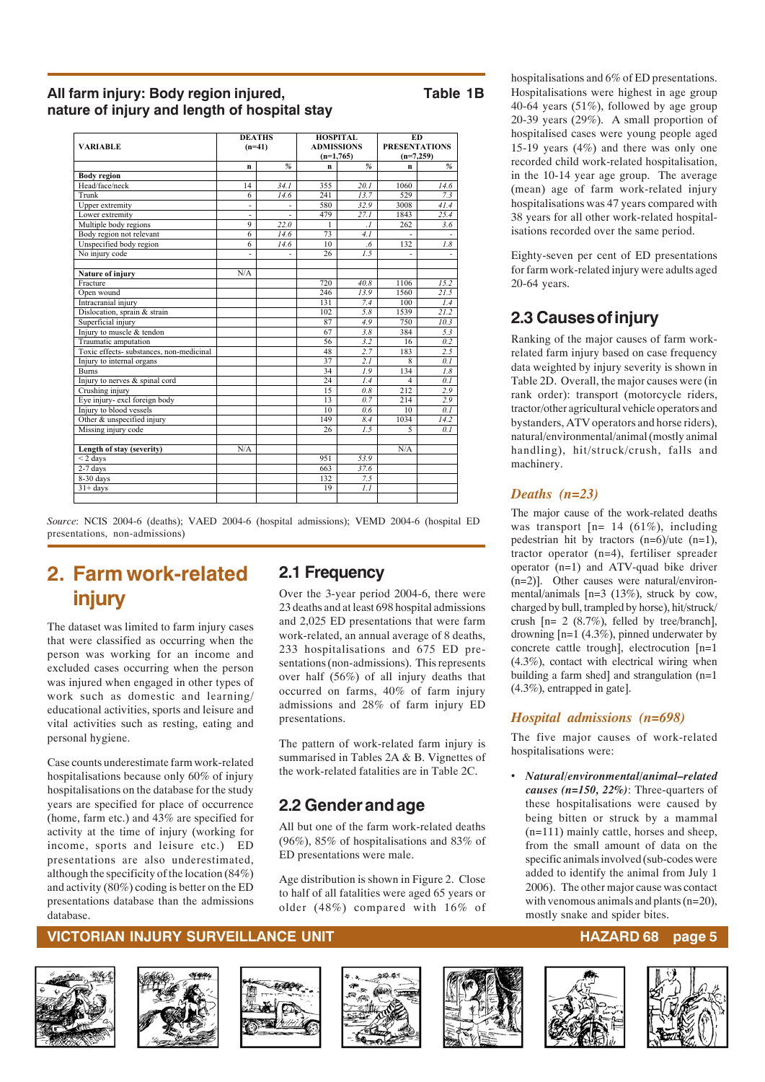#### All farm injury: Body region injured, Table 1B **nature of injury and length of hospital stay**

|                                          | <b>DEATHS</b> |                | <b>HOSPITAL</b>   |                      | <b>ED</b>            |      |  |
|------------------------------------------|---------------|----------------|-------------------|----------------------|----------------------|------|--|
| <b>VARIABLE</b>                          | $(n=41)$      |                | <b>ADMISSIONS</b> |                      | <b>PRESENTATIONS</b> |      |  |
|                                          |               |                | $(n=1,765)$       |                      | $(n=7,259)$          |      |  |
|                                          | $\mathbf n$   | $\frac{9}{6}$  | n                 | %                    | n                    | $\%$ |  |
| <b>Body</b> region                       |               |                |                   |                      |                      |      |  |
| Head/face/neck                           | 14            | 34.1           | 355               | 20.1                 | 1060                 | 14.6 |  |
| Trunk                                    | 6             | 14.6           | 241               | 13.7                 | 529                  | 7.3  |  |
| <b>Upper extremity</b>                   | ÷.            |                | 580               | 32.9                 | 3008                 | 41.4 |  |
| Lower extremity                          | ٠             | $\overline{a}$ | 479               | 27.1                 | 1843                 | 25.4 |  |
| Multiple body regions                    | $\mathbf{Q}$  | 22.0           | 1                 | $\cdot$ <sub>1</sub> | 262                  | 3.6  |  |
| Body region not relevant                 | 6             | 14.6           | 73                | 4.1                  |                      |      |  |
| Unspecified body region                  | 6             | 14.6           | 10                | $6.6^{\circ}$        | 132                  | 1.8  |  |
| No injury code                           |               |                | 26                | 1.5                  | $\overline{a}$       |      |  |
| Nature of injury                         | N/A           |                |                   |                      |                      |      |  |
| Fracture                                 |               |                | 720               | 40.8                 | 1106                 | 15.2 |  |
| Open wound                               |               |                | 246               | 13.9                 | 1560                 | 21.5 |  |
| Intracranial injury                      |               |                | 131               | 7.4                  | 100                  | 1.4  |  |
| Dislocation, sprain & strain             |               |                | 102               | 5.8                  | 1539                 | 21.2 |  |
| Superficial injury                       |               |                | 87                | 4.9                  | 750                  | 10.3 |  |
| Injury to muscle & tendon                |               |                | 67                | 3.8                  | 384                  | 5.3  |  |
| Traumatic amputation                     |               |                | 56                | 3.2                  | 16                   | 0.2  |  |
| Toxic effects- substances, non-medicinal |               |                | 48                | 2.7                  | 183                  | 2.5  |  |
| Injury to internal organs                |               |                | 37                | 2.1                  | 8                    | 0.1  |  |
| <b>Burns</b>                             |               |                | 34                | 1.9                  | 134                  | 1.8  |  |
| Injury to nerves & spinal cord           |               |                | 24                | 1.4                  | 4                    | 0.1  |  |
| Crushing injury                          |               |                | 15                | 0.8                  | 212                  | 2.9  |  |
| Eye injury- excl foreign body            |               |                | 13                | 0.7                  | 214                  | 2.9  |  |
| Injury to blood vessels                  |               |                | 10                | 0.6                  | 10                   | 0.1  |  |
| Other & unspecified injury               |               |                | 149               | 8.4                  | 1034                 | 14.2 |  |
| Missing injury code                      |               |                | 26                | 1.5                  | 5                    | 0.1  |  |
|                                          |               |                |                   |                      |                      |      |  |
| Length of stay (severity)                | N/A           |                |                   |                      | N/A                  |      |  |
| $<$ 2 days                               |               |                | 951               | 53.9                 |                      |      |  |
| $2-7$ days                               |               |                | 663               | 37.6                 |                      |      |  |
| 8-30 days                                |               |                | 132               | 7.5                  |                      |      |  |
| $31 + days$                              |               |                | 19                | 1.1                  |                      |      |  |
|                                          |               |                |                   |                      |                      |      |  |

*Source*: NCIS 2004-6 (deaths); VAED 2004-6 (hospital admissions); VEMD 2004-6 (hospital ED presentations, non-admissions)

## **2. Farm work-related injury**

The dataset was limited to farm injury cases that were classified as occurring when the person was working for an income and excluded cases occurring when the person was injured when engaged in other types of work such as domestic and learning/ educational activities, sports and leisure and vital activities such as resting, eating and personal hygiene.

Case counts underestimate farm work-related hospitalisations because only 60% of injury hospitalisations on the database for the study years are specified for place of occurrence (home, farm etc.) and 43% are specified for activity at the time of injury (working for income, sports and leisure etc.) ED presentations are also underestimated, although the specificity of the location (84%) and activity (80%) coding is better on the ED presentations database than the admissions database.

### **2.1 Frequency**

Over the 3-year period 2004-6, there were 23 deaths and at least 698 hospital admissions and 2,025 ED presentations that were farm work-related, an annual average of 8 deaths, 233 hospitalisations and 675 ED presentations (non-admissions). This represents over half (56%) of all injury deaths that occurred on farms, 40% of farm injury admissions and 28% of farm injury ED presentations.

The pattern of work-related farm injury is summarised in Tables 2A & B. Vignettes of the work-related fatalities are in Table 2C.

### **2.2 Gender and age**

All but one of the farm work-related deaths (96%), 85% of hospitalisations and 83% of ED presentations were male.

Age distribution is shown in Figure 2. Close to half of all fatalities were aged 65 years or older (48%) compared with 16% of

hospitalisations and 6% of ED presentations. Hospitalisations were highest in age group 40-64 years (51%), followed by age group 20-39 years (29%). A small proportion of hospitalised cases were young people aged 15-19 years (4%) and there was only one recorded child work-related hospitalisation, in the 10-14 year age group. The average (mean) age of farm work-related injury hospitalisations was 47 years compared with 38 years for all other work-related hospitalisations recorded over the same period.

Eighty-seven per cent of ED presentations for farm work-related injury were adults aged 20-64 years.

## **2.3 Causes of injury**

Ranking of the major causes of farm workrelated farm injury based on case frequency data weighted by injury severity is shown in Table 2D. Overall, the major causes were (in rank order): transport (motorcycle riders, tractor/other agricultural vehicle operators and bystanders, ATV operators and horse riders), natural/environmental/animal (mostly animal handling), hit/struck/crush, falls and machinery.

#### *Deaths (n=23)*

The major cause of the work-related deaths was transport  $[n= 14 (61\%)$ , including pedestrian hit by tractors (n=6)/ute (n=1), tractor operator (n=4), fertiliser spreader operator (n=1) and ATV-quad bike driver (n=2)]. Other causes were natural/environmental/animals [n=3 (13%), struck by cow, charged by bull, trampled by horse), hit/struck/ crush  $[n= 2 (8.7\%)$ , felled by tree/branch], drowning [n=1 (4.3%), pinned underwater by concrete cattle trough], electrocution [n=1 (4.3%), contact with electrical wiring when building a farm shed] and strangulation (n=1 (4.3%), entrapped in gate].

#### *Hospital admissions (n=698)*

The five major causes of work-related hospitalisations were:

• *Natural/environmental/animal–related causes (n=150, 22%)*: Three-quarters of these hospitalisations were caused by being bitten or struck by a mammal (n=111) mainly cattle, horses and sheep, from the small amount of data on the specific animals involved (sub-codes were added to identify the animal from July 1 2006). The other major cause was contact with venomous animals and plants (n=20), mostly snake and spider bites.













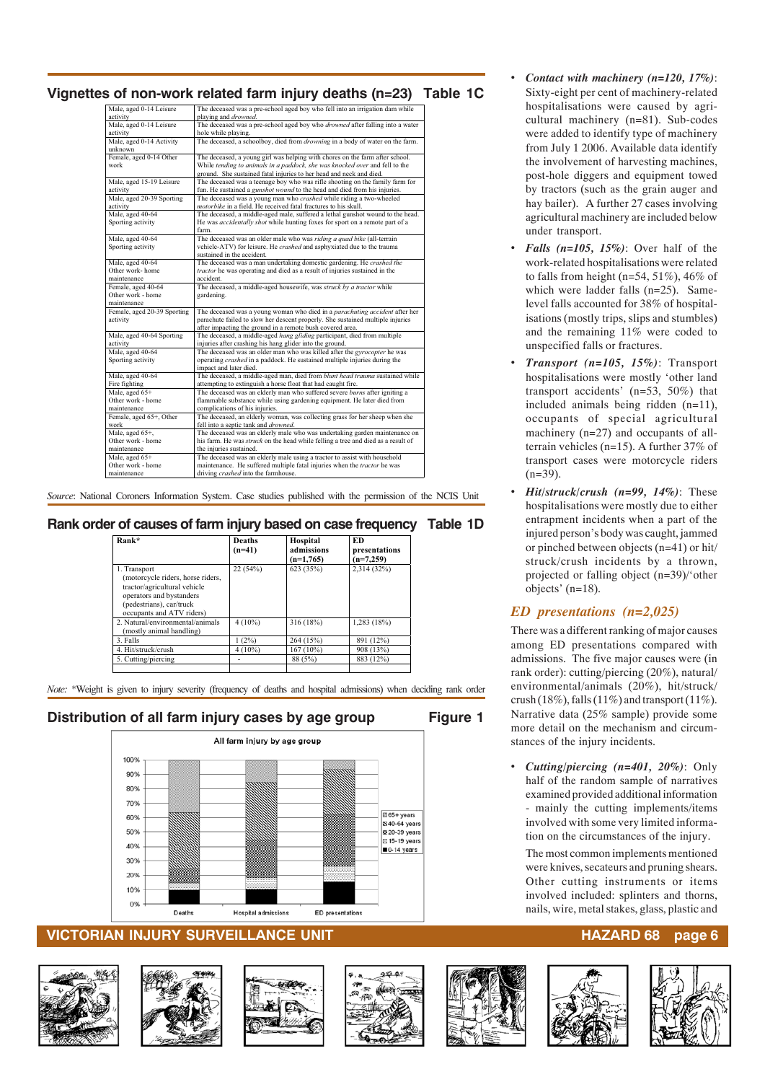## **Vignettes of non-work related farm injury deaths (n=23) Table 1C**

| Male, aged 0-14 Leisure     | The deceased was a pre-school aged boy who fell into an irrigation dam while         |
|-----------------------------|--------------------------------------------------------------------------------------|
| activity                    | playing and <i>drowned</i> .                                                         |
| Male, aged 0-14 Leisure     | The deceased was a pre-school aged boy who <i>drowned</i> after falling into a water |
| activity                    | hole while playing.                                                                  |
| Male, aged 0-14 Activity    | The deceased, a schoolboy, died from <i>drowning</i> in a body of water on the farm. |
| unknown                     |                                                                                      |
| Female, aged 0-14 Other     | The deceased, a young girl was helping with chores on the farm after school.         |
| work                        | While tending to animals in a paddock, she was knocked over and fell to the          |
|                             | ground. She sustained fatal injuries to her head and neck and died.                  |
| Male, aged 15-19 Leisure    | The deceased was a teenage boy who was rifle shooting on the family farm for         |
| activity                    | fun. He sustained a <i>gunshot wound</i> to the head and died from his injuries.     |
| Male, aged 20-39 Sporting   | The deceased was a young man who crashed while riding a two-wheeled                  |
| activity                    | motorbike in a field. He received fatal fractures to his skull.                      |
| Male, aged 40-64            | The deceased, a middle-aged male, suffered a lethal gunshot wound to the head.       |
| Sporting activity           | He was <i>accidentally shot</i> while hunting foxes for sport on a remote part of a  |
|                             | farm.                                                                                |
| Male, aged 40-64            | The deceased was an older male who was riding a quad bike (all-terrain               |
| Sporting activity           | vehicle-ATV) for leisure. He crashed and asphyxiated due to the trauma               |
|                             | sustained in the accident.                                                           |
| Male, aged 40-64            | The deceased was a man undertaking domestic gardening. He crashed the                |
| Other work-home             | tractor he was operating and died as a result of injuries sustained in the           |
| maintenance                 | accident.                                                                            |
| Female, aged 40-64          | The deceased, a middle-aged housewife, was struck by a tractor while                 |
| Other work - home           | gardening.                                                                           |
| maintenance                 |                                                                                      |
| Female, aged 20-39 Sporting | The deceased was a young woman who died in a parachuting accident after her          |
| activity                    | parachute failed to slow her descent properly. She sustained multiple injuries       |
|                             | after impacting the ground in a remote bush covered area.                            |
| Male, aged 40-64 Sporting   | The deceased, a middle-aged hang gliding participant, died from multiple             |
| activity                    | injuries after crashing his hang glider into the ground.                             |
| Male, aged 40-64            | The deceased was an older man who was killed after the gyrocopter he was             |
| Sporting activity           | operating crashed in a paddock. He sustained multiple injuries during the            |
|                             | impact and later died.                                                               |
| Male, aged 40-64            | The deceased, a middle-aged man, died from blunt head trauma sustained while         |
| Fire fighting               | attempting to extinguish a horse float that had caught fire.                         |
| Male, aged 65+              | The deceased was an elderly man who suffered severe burns after igniting a           |
| Other work - home           | flammable substance while using gardening equipment. He later died from              |
| maintenance                 | complications of his injuries.                                                       |
| Female, aged 65+, Other     | The deceased, an elderly woman, was collecting grass for her sheep when she          |
| work                        | fell into a septic tank and drowned.                                                 |
| Male, aged 65+,             | The deceased was an elderly male who was undertaking garden maintenance on           |
| Other work - home           | his farm. He was struck on the head while felling a tree and died as a result of     |
| maintenance                 | the injuries sustained.                                                              |
| Male, aged 65+              | The deceased was an elderly male using a tractor to assist with household            |
| Other work - home           | maintenance. He suffered multiple fatal injuries when the tractor he was             |
| maintenance                 | driving crashed into the farmhouse.                                                  |
|                             |                                                                                      |

*Source*: National Coroners Information System. Case studies published with the permission of the NCIS Unit

#### **Rank order of causes of farm injury based on case frequency Table 1D**

| Rank*                                                                                                                                                                  | <b>Deaths</b><br>$(n=41)$ | Hospital<br>admissions<br>$(n=1,765)$ | ED<br>presentations<br>$(n=7,259)$ |
|------------------------------------------------------------------------------------------------------------------------------------------------------------------------|---------------------------|---------------------------------------|------------------------------------|
| 1. Transport<br>(motorcycle riders, horse riders,<br>tractor/agricultural vehicle<br>operators and bystanders<br>(pedestrians), car/truck<br>occupants and ATV riders) | 22(54%)                   | 623 (35%)                             | 2,314 (32%)                        |
| 2. Natural/environmental/animals<br>(mostly animal handling)                                                                                                           | $4(10\%)$                 | 316 (18%)                             | 1,283 (18%)                        |
| 3. Falls                                                                                                                                                               | 1(2%)                     | 264 (15%)                             | 891 (12%)                          |
| 4. Hit/struck/crush                                                                                                                                                    | $4(10\%)$                 | 167 (10%)                             | 908 (13%)                          |
| 5. Cutting/piercing                                                                                                                                                    |                           | 88 (5%)                               | 883 (12%)                          |

*Note:* \*Weight is given to injury severity (frequency of deaths and hospital admissions) when deciding rank order

#### Distribution of all farm injury cases by age group Figure 1



#### **VICTORIAN INJURY SURVEILLANCE UNIT AND RESERVE EXAMPLE AND RESERVE EXAMPLE AND RESERVE EXAMPLE AND RESERVE**













- *Contact with machinery (n=120, 17%)*: Sixty-eight per cent of machinery-related hospitalisations were caused by agricultural machinery (n=81). Sub-codes were added to identify type of machinery from July 1 2006. Available data identify the involvement of harvesting machines, post-hole diggers and equipment towed by tractors (such as the grain auger and hay bailer). A further 27 cases involving agricultural machinery are included below under transport.
- *Falls (n=105, 15%)*: Over half of the work-related hospitalisations were related to falls from height ( $n=54$ , 51%), 46% of which were ladder falls (n=25). Samelevel falls accounted for 38% of hospitalisations (mostly trips, slips and stumbles) and the remaining 11% were coded to unspecified falls or fractures.
- *Transport (n=105, 15%)*: Transport hospitalisations were mostly 'other land transport accidents' (n=53, 50%) that included animals being ridden (n=11), occupants of special agricultural machinery (n=27) and occupants of allterrain vehicles (n=15). A further 37% of transport cases were motorcycle riders  $(n=39)$ .
- *Hit/struck/crush (n=99, 14%)*: These hospitalisations were mostly due to either entrapment incidents when a part of the injured person's body was caught, jammed or pinched between objects (n=41) or hit/ struck/crush incidents by a thrown, projected or falling object (n=39)/'other objects' (n=18).

#### *ED presentations (n=2,025)*

There was a different ranking of major causes among ED presentations compared with admissions. The five major causes were (in rank order): cutting/piercing (20%), natural/ environmental/animals (20%), hit/struck/ crush (18%), falls (11%) and transport (11%). Narrative data (25% sample) provide some more detail on the mechanism and circumstances of the injury incidents.

• *Cutting/piercing (n=401, 20%)*: Only half of the random sample of narratives examined provided additional information mainly the cutting implements/items involved with some very limited information on the circumstances of the injury.

The most common implements mentioned were knives, secateurs and pruning shears. Other cutting instruments or items involved included: splinters and thorns, nails, wire, metal stakes, glass, plastic and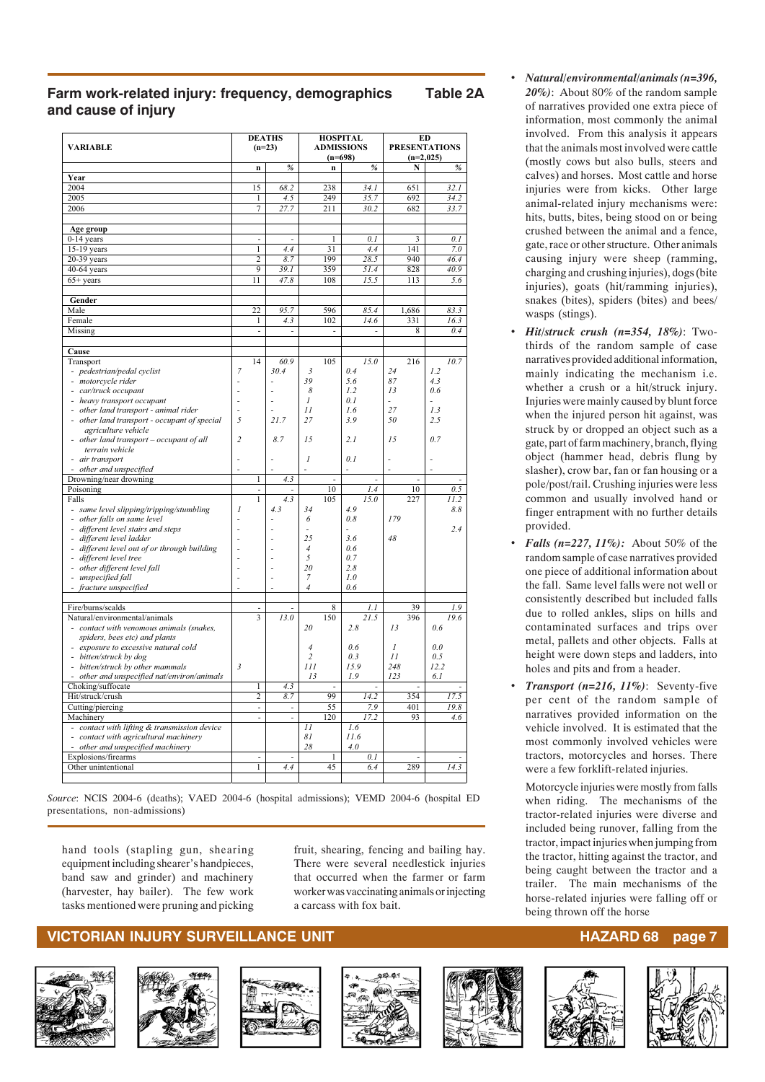#### **Farm work-related injury: frequency, demographics Table 2A and cause of injury**

| <b>VARIABLE</b>                                                    | <b>DEATHS</b><br>$(n=23)$ |                                |                          |                                | <b>HOSPITAL</b><br><b>ADMISSIONS</b><br>$(n=698)$ |               | <b>ED</b><br><b>PRESENTATIONS</b><br>$(n=2,025)$ |               |  |
|--------------------------------------------------------------------|---------------------------|--------------------------------|--------------------------|--------------------------------|---------------------------------------------------|---------------|--------------------------------------------------|---------------|--|
|                                                                    |                           | n                              | $\frac{9}{6}$            |                                | n                                                 | $\frac{9}{6}$ | N                                                | $\frac{9}{6}$ |  |
| Year                                                               |                           |                                |                          |                                |                                                   |               |                                                  |               |  |
| 2004                                                               |                           | 15                             | 68.2                     |                                | 238                                               | 34.1          | 651                                              | 32.1          |  |
| 2005                                                               |                           | $\mathbf{1}$                   | 4.5                      |                                | 249                                               | 35.7          | 692                                              | 34.2          |  |
| 2006                                                               |                           | 7                              | 27.7                     |                                | 211                                               | 30.2          | 682                                              | 33.7          |  |
|                                                                    |                           |                                |                          |                                |                                                   |               |                                                  |               |  |
| Age group<br>$0-14$ years                                          |                           | ÷,                             | ä,                       |                                | 1                                                 | 0.1           | 3                                                | 0.1           |  |
| 15-19 years                                                        |                           | 1                              | 4.4                      |                                | 31                                                | 4.4           | 141                                              | 7.0           |  |
| $20-39$ years                                                      |                           | $\overline{c}$                 | 8.7                      |                                | 199                                               | 28.5          | 940                                              | 46.4          |  |
| 40-64 years                                                        |                           | 9                              | 39.1                     |                                | 359                                               | 51.4          | 828                                              | 40.9          |  |
| $65+$ years                                                        |                           | 11                             | 47.8                     |                                | 108                                               | 15.5          | 113                                              | 5.6           |  |
|                                                                    |                           |                                |                          |                                |                                                   |               |                                                  |               |  |
| Gender<br>Male                                                     |                           | 22                             | 95.7                     |                                | 596                                               | 85.4          | 1,686                                            | 83.3          |  |
| Female                                                             |                           | $\mathbf{1}$                   | 4.3                      |                                | 102                                               | 14.6          | 331                                              | 16.3          |  |
|                                                                    |                           |                                |                          |                                |                                                   |               |                                                  |               |  |
| Missing                                                            |                           | ÷                              | $\overline{a}$           |                                |                                                   |               | 8                                                | 0.4           |  |
| Cause                                                              |                           |                                |                          |                                |                                                   |               |                                                  |               |  |
| Transport                                                          |                           | 14                             | 60.9                     |                                | 105                                               | 15.0          | 216                                              | 10.7          |  |
| - pedestrian/pedal cyclist                                         | $\overline{7}$            |                                | 30.4                     | 3                              |                                                   | 0.4           | 24                                               | 1.2           |  |
| - motorcycle rider                                                 |                           |                                |                          | 39                             |                                                   | 5.6           | 87                                               | 4.3           |  |
| car/truck occupant<br>ä,                                           |                           |                                | Ĭ.                       | 8                              |                                                   | 1.2           | 13                                               | 0.6           |  |
| heavy transport occupant                                           | L,                        |                                |                          | 1                              |                                                   | 0.1           |                                                  |               |  |
| other land transport - animal rider                                | L,                        |                                |                          | 11                             |                                                   | 1.6           | 27                                               | 1.3           |  |
| other land transport - occupant of special                         | 5                         |                                | 21.7                     | 27                             |                                                   | 3.9           | 50                                               | 2.5           |  |
| agriculture vehicle<br>other land transport - occupant of all      | $\overline{c}$            |                                | 8.7                      | 15                             |                                                   | 2.1           | 15                                               | 0.7           |  |
| terrain vehicle                                                    |                           |                                |                          |                                |                                                   |               |                                                  |               |  |
| air transport                                                      | Ĭ.                        |                                |                          | $\mathcal{I}$                  |                                                   | 0.1           |                                                  |               |  |
| other and unspecified<br>ä,                                        | L,                        |                                | L,                       | L,                             |                                                   | ٠             | Ĭ.                                               |               |  |
| Drowning/near drowning                                             |                           | $\mathbf{1}$                   | 4.3                      |                                | ä,                                                | L.            | ä,                                               |               |  |
| Poisoning                                                          |                           | ÷,                             |                          |                                | 10                                                | 1.4           | 10                                               | 0.5           |  |
| Falls                                                              |                           | $\mathbf{1}$                   | 4.3                      |                                | 105                                               | 15.0<br>4.9   | 227                                              | 11.2          |  |
| - same level slipping/tripping/stumbling                           | 1                         |                                | 4.3                      | 34                             |                                                   | 0.8           | 179                                              | 8.8           |  |
| other falls on same level                                          |                           |                                |                          | 6                              |                                                   |               |                                                  |               |  |
| different level stairs and steps                                   |                           |                                |                          | 25                             |                                                   | 3.6           | 48                                               | 2.4           |  |
| different level ladder                                             | Ĭ.                        |                                |                          |                                |                                                   | 0.6           |                                                  |               |  |
| different level out of or through building<br>different level tree |                           |                                |                          | 4<br>5                         |                                                   | 0.7           |                                                  |               |  |
| other different level fall                                         | Ĭ.                        |                                |                          | 20                             |                                                   | 2.8           |                                                  |               |  |
| unspecified fall                                                   | $\overline{a}$            |                                |                          | $\boldsymbol{7}$               |                                                   | 1.0           |                                                  |               |  |
| fracture unspecified                                               |                           |                                |                          | $\sqrt{4}$                     |                                                   | 0.6           |                                                  |               |  |
|                                                                    |                           |                                |                          |                                |                                                   |               |                                                  |               |  |
| Fire/burns/scalds                                                  |                           | L.                             |                          |                                | 8                                                 | 1.1           | 39                                               | 1.9           |  |
| Natural/environmental/animals                                      |                           | 3                              | 13.0                     |                                | 150                                               | 21.5          | 396                                              | 19.6          |  |
| contact with venomous animals (snakes,                             |                           |                                |                          | 20                             |                                                   | 2.8           | 13                                               | 0.6           |  |
| spiders, bees etc) and plants                                      |                           |                                |                          |                                |                                                   |               |                                                  |               |  |
| exposure to excessive natural cold                                 |                           |                                |                          | $\overline{4}$                 |                                                   | 0.6           | $\mathcal{I}$                                    | 0.0           |  |
| bitten/struck by dog<br>÷,                                         |                           |                                |                          | $\overline{\mathbf{c}}$<br>111 |                                                   | 0.3           | 11                                               | 0.5           |  |
| bitten/struck by other mammals                                     | $\mathfrak{Z}$            |                                |                          |                                |                                                   | 15.9          | 248                                              | 12.2          |  |
| other and unspecified nat/environ/animals<br>L,                    |                           |                                |                          | 13                             |                                                   | 1.9           | 123                                              | 6.1           |  |
| Choking/suffocate<br>Hit/struck/crush                              |                           | $\mathbf{1}$<br>$\overline{c}$ | 4.3<br>8.7               |                                | 99                                                | 14.2          | 354                                              | 17.5          |  |
| Cutting/piercing                                                   |                           | $\overline{\phantom{a}}$       | $\overline{\phantom{a}}$ |                                | 55                                                | 7.9           | 401                                              | 19.8          |  |
| Machinery                                                          |                           | ä,                             | $\overline{a}$           |                                | 120                                               | 17.2          | 93                                               | 4.6           |  |
| contact with lifting & transmission device                         |                           |                                |                          | II                             |                                                   | 1.6           |                                                  |               |  |
| contact with agricultural machinery                                |                           |                                |                          | 81                             |                                                   | 11.6          |                                                  |               |  |
| other and unspecified machinery<br>÷,                              |                           |                                |                          | 28                             |                                                   | 4.0           |                                                  |               |  |
| Explosions/firearms                                                |                           | L.                             | L.                       |                                | $\mathbf{1}$                                      | 0.1           |                                                  |               |  |
| Other unintentional                                                |                           | $\mathbf{1}$                   | 4.4                      |                                | 45                                                | 6.4           | 289                                              | 14.3          |  |
|                                                                    |                           |                                |                          |                                |                                                   |               |                                                  |               |  |
|                                                                    |                           |                                |                          |                                |                                                   |               |                                                  |               |  |

*Source*: NCIS 2004-6 (deaths); VAED 2004-6 (hospital admissions); VEMD 2004-6 (hospital ED presentations, non-admissions)

hand tools (stapling gun, shearing equipment including shearer's handpieces, band saw and grinder) and machinery (harvester, hay bailer). The few work tasks mentioned were pruning and picking fruit, shearing, fencing and bailing hay. There were several needlestick injuries that occurred when the farmer or farm worker was vaccinating animals or injecting a carcass with fox bait.

#### **VICTORIAN INJURY SURVEILLANCE UNIT HAZARD 68 page 7**











- *Natural/environmental/animals (n=396, 20%)*: About 80% of the random sample of narratives provided one extra piece of information, most commonly the animal involved. From this analysis it appears that the animals most involved were cattle (mostly cows but also bulls, steers and calves) and horses. Most cattle and horse injuries were from kicks. Other large animal-related injury mechanisms were: hits, butts, bites, being stood on or being crushed between the animal and a fence, gate, race or other structure. Other animals causing injury were sheep (ramming, charging and crushing injuries), dogs (bite injuries), goats (hit/ramming injuries), snakes (bites), spiders (bites) and bees/ wasps (stings).
- *Hit/struck crush (n=354, 18%)*: Twothirds of the random sample of case narratives provided additional information, mainly indicating the mechanism i.e. whether a crush or a hit/struck injury. Injuries were mainly caused by blunt force when the injured person hit against, was struck by or dropped an object such as a gate, part of farm machinery, branch, flying object (hammer head, debris flung by slasher), crow bar, fan or fan housing or a pole/post/rail. Crushing injuries were less common and usually involved hand or finger entrapment with no further details provided.
- *Falls (n=227, 11%):* About 50% of the random sample of case narratives provided one piece of additional information about the fall. Same level falls were not well or consistently described but included falls due to rolled ankles, slips on hills and contaminated surfaces and trips over metal, pallets and other objects. Falls at height were down steps and ladders, into holes and pits and from a header.
- *Transport (n=216, 11%)*: Seventy-five per cent of the random sample of narratives provided information on the vehicle involved. It is estimated that the most commonly involved vehicles were tractors, motorcycles and horses. There were a few forklift-related injuries.

Motorcycle injuries were mostly from falls when riding. The mechanisms of the tractor-related injuries were diverse and included being runover, falling from the tractor, impact injuries when jumping from the tractor, hitting against the tractor, and being caught between the tractor and a trailer. The main mechanisms of the horse-related injuries were falling off or being thrown off the horse

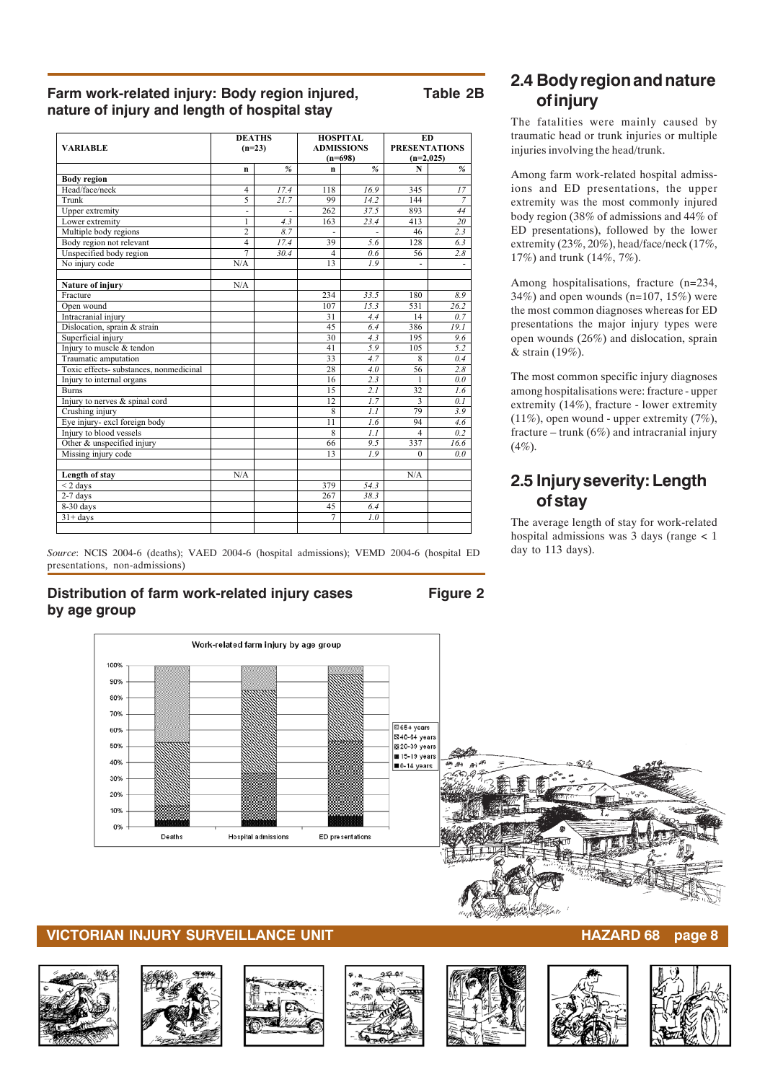#### **Farm work-related injury: Body region injured, Table 2B nature of injury and length of hospital stay**

|                |      |                           |                          | ED<br><b>PRESENTATIONS</b><br>$(n=2,025)$                                                 |      |  |
|----------------|------|---------------------------|--------------------------|-------------------------------------------------------------------------------------------|------|--|
| n              | %    | $\mathbf n$               | %                        | $\mathbf N$                                                                               | %    |  |
|                |      |                           |                          |                                                                                           |      |  |
| $\overline{4}$ | 17.4 | 118                       | 16.9                     | 345                                                                                       | 17   |  |
| 5              | 21.7 | 99                        | 14.2                     | 144                                                                                       | 7    |  |
| ÷.             | ÷    | 262                       | 37.5                     | 893                                                                                       | 44   |  |
| 1              | 4.3  | 163                       | 23.4                     | 413                                                                                       | 20   |  |
| $\overline{c}$ | 8.7  |                           | $\overline{\phantom{a}}$ | 46                                                                                        | 2.3  |  |
| $\overline{4}$ | 17.4 | 39                        | 5.6                      | 128                                                                                       | 6.3  |  |
| $\overline{7}$ | 30.4 | 4                         | 0.6                      | 56                                                                                        | 2.8  |  |
| N/A            |      | 13                        | 1.9                      |                                                                                           |      |  |
| N/A            |      |                           |                          |                                                                                           |      |  |
|                |      | 234                       | 33.5                     | 180                                                                                       | 8.9  |  |
|                |      | 107                       | 15.3                     | 531                                                                                       | 26.2 |  |
|                |      | 31                        | 4.4                      | 14                                                                                        | 0.7  |  |
|                |      | 45                        | 6.4                      | 386                                                                                       | 19.1 |  |
|                |      | 30                        | 4.3                      | 195                                                                                       | 9.6  |  |
|                |      | 41                        | 5.9                      | 105                                                                                       | 5.2  |  |
|                |      | 33                        | 4.7                      | 8                                                                                         | 0.4  |  |
|                |      | 28                        | 4.0                      | 56                                                                                        | 2.8  |  |
|                |      | 16                        | 2.3                      | 1                                                                                         | 0.0  |  |
|                |      | 15                        | 2.1                      | 32                                                                                        | 1.6  |  |
|                |      | 12                        | 1.7                      | 3                                                                                         | 0.1  |  |
|                |      | 8                         | 1.1                      | 79                                                                                        | 3.9  |  |
|                |      | 11                        | 1.6                      | 94                                                                                        | 4.6  |  |
|                |      | 8                         |                          | $\overline{4}$                                                                            | 0.2  |  |
|                |      | 66                        | 9.5                      | 337                                                                                       | 16.6 |  |
|                |      | 13                        |                          | $\Omega$                                                                                  | 0.0  |  |
| N/A            |      |                           |                          | N/A                                                                                       |      |  |
|                |      | 379                       | 54.3                     |                                                                                           |      |  |
|                |      | 267                       | 38.3                     |                                                                                           |      |  |
|                |      | 45                        | 6.4                      |                                                                                           |      |  |
|                |      | 7                         | 1.0                      |                                                                                           |      |  |
|                |      | <b>DEATHS</b><br>$(n=23)$ |                          | <b>HOSPITAL</b><br><b>ADMISSIONS</b><br>$(n=698)$<br>$\overline{1.1}$<br>$\overline{1.9}$ |      |  |

*Source*: NCIS 2004-6 (deaths); VAED 2004-6 (hospital admissions); VEMD 2004-6 (hospital ED presentations, non-admissions)

#### **Distribution of farm work-related injury cases Figure 2 by age group**



### **2.4 Body region and nature of injury**

The fatalities were mainly caused by traumatic head or trunk injuries or multiple injuries involving the head/trunk.

Among farm work-related hospital admissions and ED presentations, the upper extremity was the most commonly injured body region (38% of admissions and 44% of ED presentations), followed by the lower extremity (23%, 20%), head/face/neck (17%, 17%) and trunk (14%, 7%).

Among hospitalisations, fracture (n=234, 34%) and open wounds ( $n=107, 15%$ ) were the most common diagnoses whereas for ED presentations the major injury types were open wounds (26%) and dislocation, sprain & strain (19%).

The most common specific injury diagnoses among hospitalisations were: fracture - upper extremity (14%), fracture - lower extremity (11%), open wound - upper extremity (7%), fracture – trunk  $(6\%)$  and intracranial injury  $(4\%)$ .

## **2.5 Injury severity: Length of stay**

The average length of stay for work-related hospital admissions was 3 days (range < 1 day to 113 days).

**VICTORIAN INJURY SURVEILLANCE UNIT AND RESERVE THE RESERVENT OF A SERVICE OF A SUBSETION CONTROL CONTROL CONTR** 













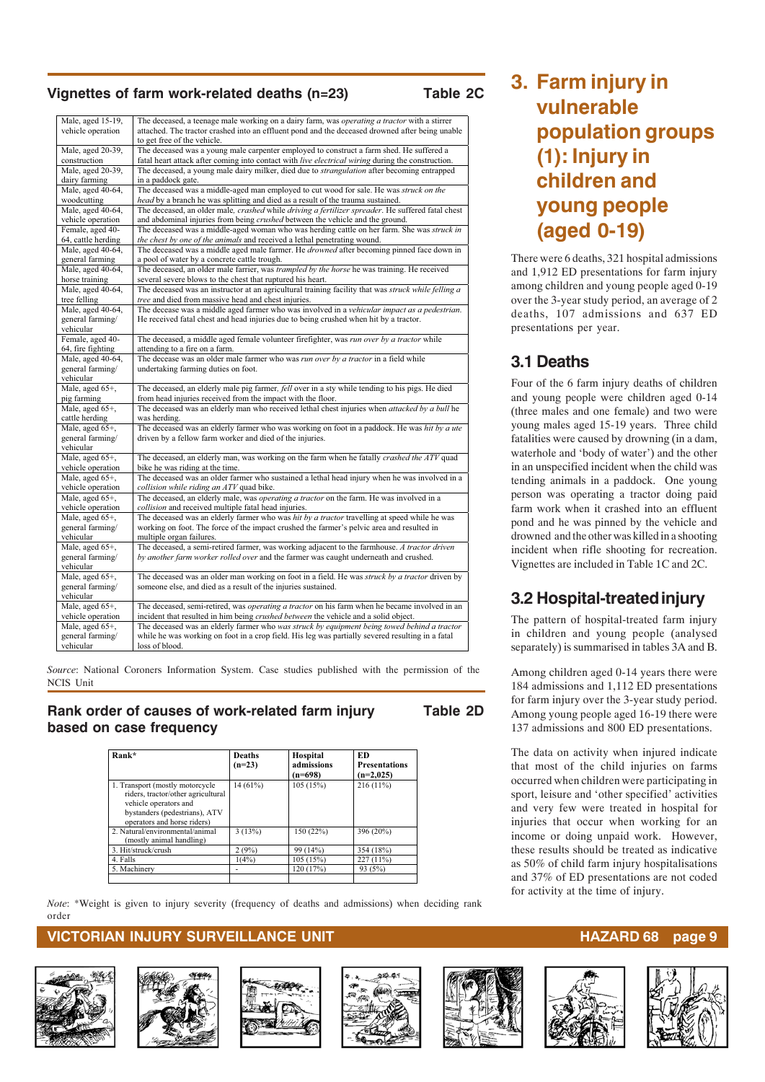#### Vignettes of farm work-related deaths (n=23)

| ы<br>я<br>., |  |  |
|--------------|--|--|
|              |  |  |

| Male, aged 15-19,                     | The deceased, a teenage male working on a dairy farm, was <i>operating a tractor</i> with a stirrer                                                                         |
|---------------------------------------|-----------------------------------------------------------------------------------------------------------------------------------------------------------------------------|
| vehicle operation                     | attached. The tractor crashed into an effluent pond and the deceased drowned after being unable                                                                             |
|                                       | to get free of the vehicle.                                                                                                                                                 |
| Male, aged 20-39,                     | The deceased was a young male carpenter employed to construct a farm shed. He suffered a                                                                                    |
| construction                          | fatal heart attack after coming into contact with live electrical wiring during the construction.                                                                           |
| Male, aged 20-39,                     | The deceased, a young male dairy milker, died due to <i>strangulation</i> after becoming entrapped                                                                          |
| dairy farming                         | in a paddock gate.                                                                                                                                                          |
| Male, aged 40-64,                     | The deceased was a middle-aged man employed to cut wood for sale. He was struck on the                                                                                      |
| woodcutting                           | head by a branch he was splitting and died as a result of the trauma sustained.                                                                                             |
| Male, aged 40-64,                     | The deceased, an older male, crashed while driving a fertilizer spreader. He suffered fatal chest                                                                           |
| vehicle operation<br>Female, aged 40- | and abdominal injuries from being crushed between the vehicle and the ground.<br>The deceased was a middle-aged woman who was herding cattle on her farm. She was struck in |
| 64, cattle herding                    | the chest by one of the animals and received a lethal penetrating wound.                                                                                                    |
| Male, aged 40-64,                     | The deceased was a middle aged male farmer. He drowned after becoming pinned face down in                                                                                   |
| general farming                       | a pool of water by a concrete cattle trough.                                                                                                                                |
| Male, aged 40-64,                     | The deceased, an older male farrier, was trampled by the horse he was training. He received                                                                                 |
| horse training                        | several severe blows to the chest that ruptured his heart.                                                                                                                  |
| Male, aged 40-64,                     | The deceased was an instructor at an agricultural training facility that was struck while felling a                                                                         |
| tree felling                          | tree and died from massive head and chest injuries.                                                                                                                         |
| Male, aged 40-64,                     | The decease was a middle aged farmer who was involved in a vehicular impact as a pedestrian.                                                                                |
| general farming/                      | He received fatal chest and head injuries due to being crushed when hit by a tractor.                                                                                       |
| vehicular                             |                                                                                                                                                                             |
| Female, aged 40-                      | The deceased, a middle aged female volunteer firefighter, was run over by a tractor while                                                                                   |
| 64, fire fighting                     | attending to a fire on a farm.                                                                                                                                              |
| Male, aged 40-64,                     | The decease was an older male farmer who was run over by a tractor in a field while                                                                                         |
| general farming/                      | undertaking farming duties on foot.                                                                                                                                         |
| vehicular                             |                                                                                                                                                                             |
| Male, aged 65+,                       | The deceased, an elderly male pig farmer, fell over in a sty while tending to his pigs. He died                                                                             |
| pig farming                           | from head injuries received from the impact with the floor.                                                                                                                 |
| Male, aged 65+,                       | The deceased was an elderly man who received lethal chest injuries when <i>attacked by a bull</i> he                                                                        |
| cattle herding                        | was herding.                                                                                                                                                                |
| Male, aged 65+,                       | The deceased was an elderly farmer who was working on foot in a paddock. He was hit by a ute                                                                                |
| general farming/                      | driven by a fellow farm worker and died of the injuries.                                                                                                                    |
| vehicular                             |                                                                                                                                                                             |
| Male, aged 65+,                       | The deceased, an elderly man, was working on the farm when he fatally crashed the ATV quad                                                                                  |
| vehicle operation                     | bike he was riding at the time.                                                                                                                                             |
| Male, aged 65+,                       | The deceased was an older farmer who sustained a lethal head injury when he was involved in a                                                                               |
| vehicle operation                     | collision while riding an ATV quad bike.                                                                                                                                    |
| Male, aged 65+,                       | The deceased, an elderly male, was <i>operating a tractor</i> on the farm. He was involved in a                                                                             |
| vehicle operation                     | collision and received multiple fatal head injuries.                                                                                                                        |
| Male, aged 65+,                       | The deceased was an elderly farmer who was hit by a tractor travelling at speed while he was                                                                                |
| general farming/                      | working on foot. The force of the impact crushed the farmer's pelvic area and resulted in                                                                                   |
| vehicular                             | multiple organ failures.                                                                                                                                                    |
| Male, aged 65+,                       | The deceased, a semi-retired farmer, was working adjacent to the farmhouse. A tractor driven                                                                                |
| general farming/                      | by another farm worker rolled over and the farmer was caught underneath and crushed.                                                                                        |
| vehicular                             |                                                                                                                                                                             |
| Male, aged 65+,                       | The deceased was an older man working on foot in a field. He was <i>struck by a tractor</i> driven by                                                                       |
| general farming/                      | someone else, and died as a result of the injuries sustained.                                                                                                               |
| vehicular                             |                                                                                                                                                                             |
| Male, aged 65+,                       | The deceased, semi-retired, was <i>operating a tractor</i> on his farm when he became involved in an                                                                        |
| vehicle operation                     | incident that resulted in him being <i>crushed between</i> the vehicle and a solid object.                                                                                  |
| Male, aged 65+,                       | The deceased was an elderly farmer who was struck by equipment being towed behind a tractor                                                                                 |
| general farming/                      | while he was working on foot in a crop field. His leg was partially severed resulting in a fatal                                                                            |
| vehicular                             | loss of blood.                                                                                                                                                              |

*Source*: National Coroners Information System. Case studies published with the permission of the NCIS Unit

#### **Rank order of causes of work-related farm injury Table 2D based on case frequency**

#### **Rank\* Deaths (n=23) Hospital admissions**   $\frac{(n=698)}{105(15%)}$ **ED Presentations (n=2,025)**  1. Transport (mostly motorcycle riders, tractor/other agricultura vehicle operators and bystanders (pedestrians), ATV operators and horse riders) 14 (61%) 105 (15%) 216 (11%) 2. Natural/environmental/animal (mostly animal handling) 3 (13%) 150 (22%) 396 (20%) 3. Hit/struck/crush 2 (9%) 99 (14%) 354 (18%) 4. Falls 1(4%) 105 (15%) 227 (11%) 5. Machinery 120 (17%) 93 (5%)

*Note*: \*Weight is given to injury severity (frequency of deaths and admissions) when deciding rank order

#### **VICTORIAN INJURY SURVEILLANCE UNIT HAZARD 68 page 9**















## **3. Farm injury in vulnerable population groups (1): Injury in children and young people (aged 0-19)**

There were 6 deaths, 321 hospital admissions and 1,912 ED presentations for farm injury among children and young people aged 0-19 over the 3-year study period, an average of 2 deaths, 107 admissions and 637 ED presentations per year.

### **3.1 Deaths**

Four of the 6 farm injury deaths of children and young people were children aged 0-14 (three males and one female) and two were young males aged 15-19 years. Three child fatalities were caused by drowning (in a dam, waterhole and 'body of water') and the other in an unspecified incident when the child was tending animals in a paddock. One young person was operating a tractor doing paid farm work when it crashed into an effluent pond and he was pinned by the vehicle and drowned and the other was killed in a shooting incident when rifle shooting for recreation. Vignettes are included in Table 1C and 2C.

## **3.2 Hospital-treated injury**

The pattern of hospital-treated farm injury in children and young people (analysed separately) is summarised in tables 3A and B.

Among children aged 0-14 years there were 184 admissions and 1,112 ED presentations for farm injury over the 3-year study period. Among young people aged 16-19 there were 137 admissions and 800 ED presentations.

The data on activity when injured indicate that most of the child injuries on farms occurred when children were participating in sport, leisure and 'other specified' activities and very few were treated in hospital for injuries that occur when working for an income or doing unpaid work. However, these results should be treated as indicative as 50% of child farm injury hospitalisations and 37% of ED presentations are not coded for activity at the time of injury.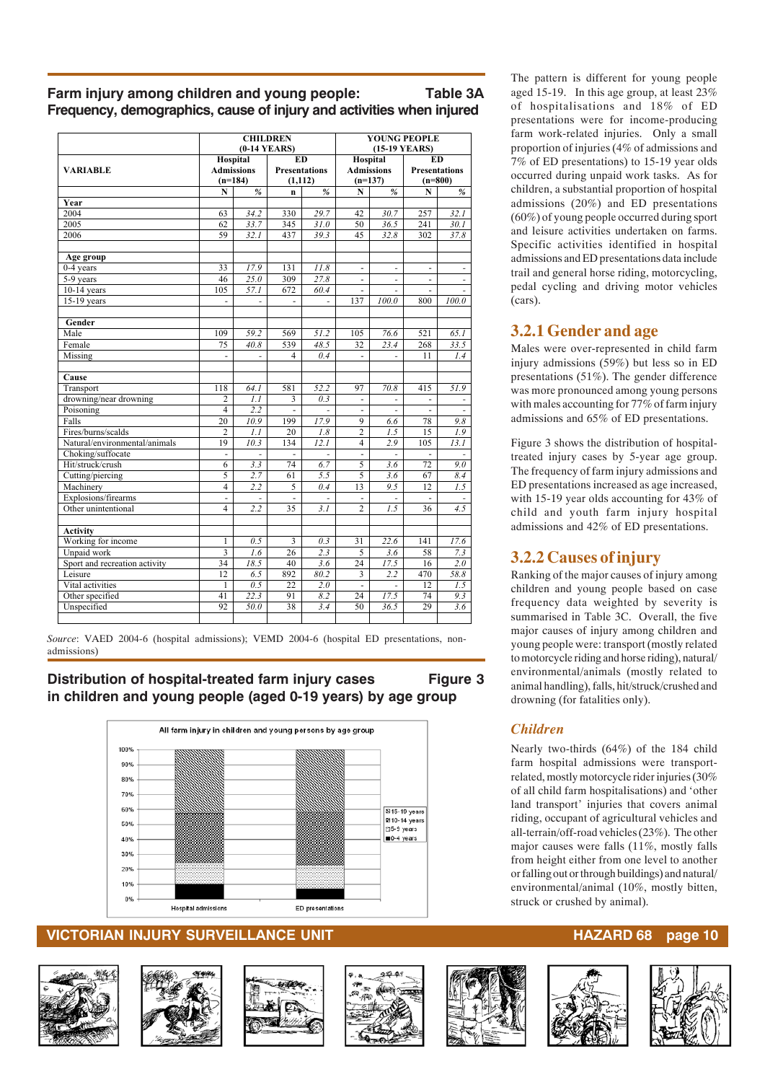#### **Farm injury among children and young people: Table 3A Frequency, demographics, cause of injury and activities when injured**

|                               |                          |                                            | <b>CHILDREN</b><br>$(0-14$ YEARS) |                                               | YOUNG PEOPLE<br>(15-19 YEARS) |                                            |                |                                                |  |
|-------------------------------|--------------------------|--------------------------------------------|-----------------------------------|-----------------------------------------------|-------------------------------|--------------------------------------------|----------------|------------------------------------------------|--|
| <b>VARIABLE</b>               |                          | Hospital<br><b>Admissions</b><br>$(n=184)$ |                                   | <b>ED</b><br><b>Presentations</b><br>(1, 112) |                               | Hospital<br><b>Admissions</b><br>$(n=137)$ |                | <b>ED</b><br><b>Presentations</b><br>$(n=800)$ |  |
|                               | N                        | %                                          | $\mathbf n$                       | $\frac{9}{6}$                                 | N                             | %                                          | N              | $\frac{9}{6}$                                  |  |
| Year                          |                          |                                            |                                   |                                               |                               |                                            |                |                                                |  |
| 2004                          | 63                       | 34.2                                       | 330                               | 29.7                                          | 42                            | 30.7                                       | 257            | 32.1                                           |  |
| 2005                          | 62                       | 33.7                                       | 345                               | 31.0                                          | 50                            | 36.5                                       | 241            | 30.1                                           |  |
| 2006                          | 59                       | 32.1                                       | 437                               | 39.3                                          | 45                            | 32.8                                       | 302            | 37.8                                           |  |
| Age group                     |                          |                                            |                                   |                                               |                               |                                            |                |                                                |  |
| 0-4 years                     | 33                       | 17.9                                       | 131                               | 11.8                                          | ÷,                            | ÷,                                         | ä,             | $\overline{\phantom{a}}$                       |  |
| 5-9 years                     | 46                       | 25.0                                       | 309                               | 27.8                                          | L.                            | $\overline{a}$                             | L.             | ÷,                                             |  |
| $10-14$ years                 | 105                      | 57.1                                       | 672                               | 60.4                                          | ÷,                            | ÷,                                         | $\blacksquare$ | L,                                             |  |
| 15-19 years                   | $\overline{\phantom{m}}$ | ٠                                          | $\blacksquare$                    |                                               | 137                           | 100.0                                      | 800            | 100.0                                          |  |
| Gender                        |                          |                                            |                                   |                                               |                               |                                            |                |                                                |  |
| Male                          | 109                      | 59.2                                       | 569                               | 51.2                                          | 105                           | 76.6                                       | 521            | 65.1                                           |  |
| Female                        | 75                       | 40.8                                       | 539                               | 48.5                                          | 32                            | $\overline{23.4}$                          | 268            | 33.5                                           |  |
| Missing                       | ÷,                       |                                            | $\overline{\mathbf{4}}$           | 0.4                                           | ÷,                            |                                            | 11             | 1.4                                            |  |
| Cause                         |                          |                                            |                                   |                                               |                               |                                            |                |                                                |  |
| Transport                     | 118                      | 64.1                                       | 581                               | 52.2                                          | 97                            | 70.8                                       | 415            | 51.9                                           |  |
| drowning/near drowning        | $\overline{2}$           | $\overline{1.1}$                           | 3                                 | 0.3                                           | ÷,                            |                                            | ÷,             |                                                |  |
| Poisoning                     | $\overline{4}$           | 2.2                                        | $\overline{\phantom{a}}$          | $\overline{\phantom{a}}$                      | ÷,                            | ÷.                                         | $\omega$       | ä,                                             |  |
| Falls                         | 20                       | 10.9                                       | 199                               | 17.9                                          | 9                             | 6.6                                        | 78             | 9.8                                            |  |
| Fires/burns/scalds            | $\overline{2}$           | 1.1                                        | 20                                | 1.8                                           | $\overline{2}$                | $1.\overline{5}$                           | 15             | $\overline{1.9}$                               |  |
| Natural/environmental/animals | 19                       | 10.3                                       | 134                               | 12.1                                          | 4                             | 2.9                                        | 105            | 13.1                                           |  |
| Choking/suffocate             | $\overline{\phantom{a}}$ |                                            | $\sim$                            |                                               | $\blacksquare$                |                                            |                |                                                |  |
| Hit/struck/crush              | $\overline{6}$           | 3.3                                        | 74                                | 6.7                                           | 5                             | 3.6                                        | 72             | $\overline{9.0}$                               |  |
| Cutting/piercing              | $\overline{5}$           | 2.7                                        | 61                                | 5.5                                           | 5                             | 3.6                                        | 67             | 8.4                                            |  |
| Machinery                     | $\overline{4}$           | $\overline{2.2}$                           | $\overline{5}$                    | 0.4                                           | 13                            | 9.5                                        | 12             | 1.5                                            |  |
| Explosions/firearms           | $\overline{a}$           | ÷.                                         | $\overline{a}$                    | $\overline{a}$                                | $\overline{a}$                |                                            | $\overline{a}$ |                                                |  |
| Other unintentional           | 4                        | 2.2                                        | 35                                | 3.1                                           | 2                             | $\overline{1.5}$                           | 36             | $\overline{4.5}$                               |  |
| <b>Activity</b>               |                          |                                            |                                   |                                               |                               |                                            |                |                                                |  |
| Working for income            | 1                        | $0.\overline{5}$                           | $\overline{\mathbf{3}}$           | 0.3                                           | 31                            | 22.6                                       | 141            | 17.6                                           |  |
| Unpaid work                   | $\overline{3}$           | 1.6                                        | 26                                | 2.3                                           | 5                             | 3.6                                        | 58             | 7.3                                            |  |
| Sport and recreation activity | 34                       | 18.5                                       | 40                                | 3.6                                           | 24                            | 17.5                                       | 16             | 2.0                                            |  |
| Leisure                       | 12                       | 6.5                                        | 892                               | 80.2                                          | 3                             | 2.2                                        | 470            | 58.8                                           |  |
| Vital activities              | 1                        | 0.5                                        | 22                                | 2.0                                           | $\overline{a}$                |                                            | 12             | 1.5                                            |  |
| Other specified               | 41                       | 22.3                                       | 91                                | 8.2                                           | 24                            | 17.5                                       | 74             | 9.3                                            |  |
| Unspecified                   | 92                       | 50.0                                       | 38                                | 3.4                                           | 50                            | 36.5                                       | 29             | 3.6                                            |  |
|                               |                          |                                            |                                   |                                               |                               |                                            |                |                                                |  |

*Source*: VAED 2004-6 (hospital admissions); VEMD 2004-6 (hospital ED presentations, nonadmissions)

#### **Distribution of hospital-treated farm injury cases Figure 3 in children and young people (aged 0-19 years) by age group**



#### **VICTORIAN INJURY SURVEILLANCE UNIT HAZARD 68 page 10**













The pattern is different for young people aged 15-19. In this age group, at least 23% of hospitalisations and 18% of ED presentations were for income-producing farm work-related injuries. Only a small proportion of injuries (4% of admissions and 7% of ED presentations) to 15-19 year olds occurred during unpaid work tasks. As for children, a substantial proportion of hospital admissions (20%) and ED presentations (60%) of young people occurred during sport and leisure activities undertaken on farms. Specific activities identified in hospital admissions and ED presentations data include trail and general horse riding, motorcycling, pedal cycling and driving motor vehicles (cars).

## **3.2.1 Gender and age**

Males were over-represented in child farm injury admissions (59%) but less so in ED presentations (51%). The gender difference was more pronounced among young persons with males accounting for 77% of farm injury admissions and 65% of ED presentations.

Figure 3 shows the distribution of hospitaltreated injury cases by 5-year age group. The frequency of farm injury admissions and ED presentations increased as age increased, with 15-19 year olds accounting for 43% of child and youth farm injury hospital admissions and 42% of ED presentations.

### **3.2.2 Causes of injury**

Ranking of the major causes of injury among children and young people based on case frequency data weighted by severity is summarised in Table 3C. Overall, the five major causes of injury among children and young people were: transport (mostly related to motorcycle riding and horse riding), natural/ environmental/animals (mostly related to animal handling), falls, hit/struck/crushed and drowning (for fatalities only).

### *Children*

Nearly two-thirds (64%) of the 184 child farm hospital admissions were transportrelated, mostly motorcycle rider injuries (30% of all child farm hospitalisations) and 'other land transport' injuries that covers animal riding, occupant of agricultural vehicles and all-terrain/off-road vehicles (23%). The other major causes were falls (11%, mostly falls from height either from one level to another or falling out or through buildings) and natural/ environmental/animal (10%, mostly bitten, struck or crushed by animal).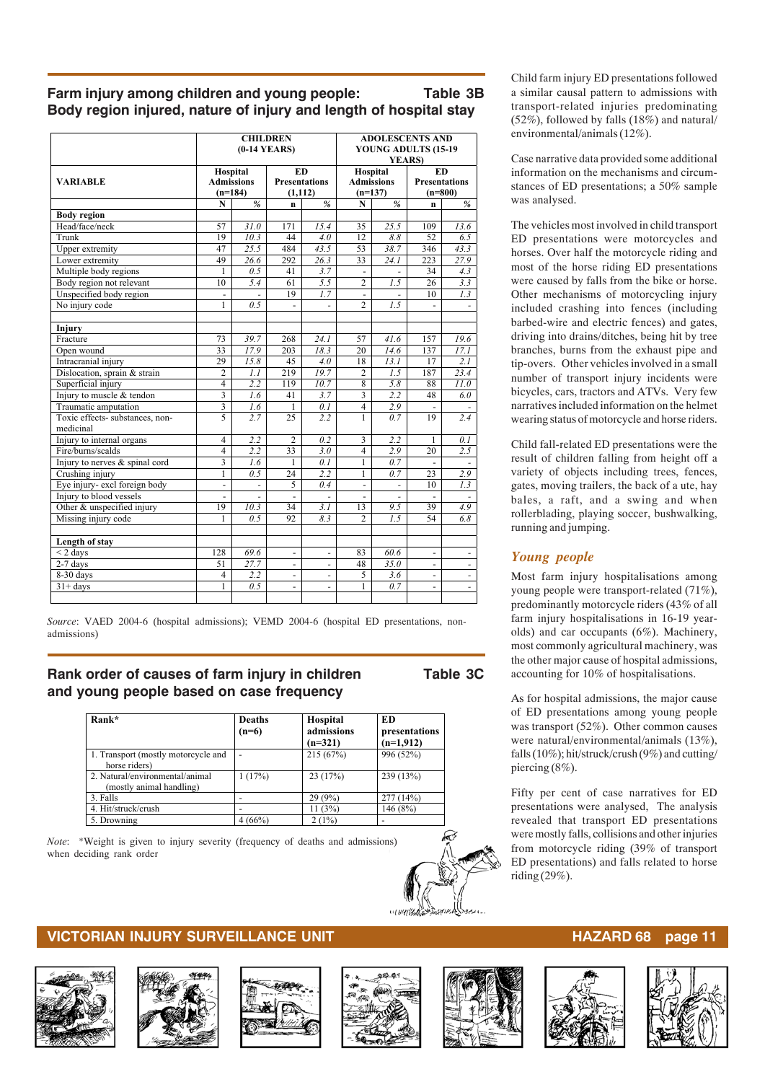#### **Farm injury among children and young people: Table 3B Body region injured, nature of injury and length of hospital stay**

|                                              |                              |                              | <b>CHILDREN</b><br>$(0-14$ YEARS) |                          | <b>ADOLESCENTS AND</b><br>YOUNG ADULTS (15-19<br><b>YEARS</b> ) |                          |                          |                          |  |
|----------------------------------------------|------------------------------|------------------------------|-----------------------------------|--------------------------|-----------------------------------------------------------------|--------------------------|--------------------------|--------------------------|--|
|                                              | Hospital                     |                              |                                   | <b>ED</b>                |                                                                 | Hospital<br><b>ED</b>    |                          |                          |  |
| VARIABLE                                     | <b>Admissions</b>            |                              | <b>Presentations</b>              |                          | <b>Admissions</b>                                               |                          | <b>Presentations</b>     |                          |  |
|                                              | $(n=184)$                    |                              |                                   | (1, 112)                 | $(n=137)$                                                       |                          | $(n=800)$                |                          |  |
|                                              | $\mathbf N$                  | $\%$                         | $\mathbf{n}$                      | %                        | ${\bf N}$                                                       | $\%$                     | $\mathbf{n}$             | $\%$                     |  |
| <b>Body region</b>                           |                              |                              |                                   |                          |                                                                 |                          |                          |                          |  |
| Head/face/neck                               | 57                           | 31.0                         | 171                               | 15.4                     | 35                                                              | 25.5                     | 109                      | 13.6                     |  |
| Trunk                                        | 19                           | 10.3                         | 44                                | 4.0                      | 12                                                              | 8.8                      | 52                       | 6.5                      |  |
| Upper extremity                              | 47                           | 25.5                         | 484                               | 43.5                     | 53                                                              | 38.7                     | 346                      | 43.3                     |  |
| Lower extremity                              | 49                           | 26.6                         | 292                               | 26.3                     | 33                                                              | 24.1                     | 223                      | 27.9                     |  |
| Multiple body regions                        | 1                            | 0.5                          | 41                                | 3.7                      |                                                                 |                          | 34                       | 4.3                      |  |
| Body region not relevant                     | 10                           | 5.4                          | 61                                | 5.5                      | $\overline{c}$                                                  | 1.5                      | 26                       | 3.3                      |  |
| Unspecified body region                      | $\overline{\phantom{a}}$     |                              | 19                                | 1.7                      | $\blacksquare$                                                  |                          | 10                       | 1.3                      |  |
| No injury code                               | 1                            | 0.5                          | $\overline{\phantom{a}}$          | $\overline{\phantom{0}}$ | $\overline{2}$                                                  | 7.5                      | $\overline{a}$           | $\overline{\phantom{a}}$ |  |
|                                              |                              |                              |                                   |                          |                                                                 |                          |                          |                          |  |
| Injury                                       |                              |                              |                                   |                          |                                                                 |                          |                          |                          |  |
| Fracture                                     | 73                           | 39.7                         | 268                               | 24.1                     | 57                                                              | 41.6                     | 157                      | 19.6                     |  |
| Open wound                                   | 33                           | 17.9                         | 203                               | 18.3                     | 20                                                              | 14.6                     | 137                      | 17.1                     |  |
| Intracranial injury                          | 29                           | 15.8                         | 45                                | 4.0                      | 18                                                              | 13.1                     | 17                       | 2.I                      |  |
| Dislocation, sprain & strain                 | 2                            | 1.1                          | 219                               | 19.7                     | $\overline{2}$                                                  | 1.5                      | 187                      | 23.4                     |  |
| Superficial injury                           | $\overline{4}$               | 2.2                          | 119                               | 10.7                     | 8                                                               | 5.8                      | 88                       | 11.0                     |  |
| Injury to muscle & tendon                    | $\overline{\mathbf{3}}$      | 1.6                          | 41                                | 3.7                      |                                                                 | 2.2                      | 48                       | 6.0                      |  |
| Traumatic amputation                         | 3                            | 1.6                          | 1                                 | 0.1                      | $\overline{4}$                                                  | 2.9                      | $\frac{1}{2}$            |                          |  |
| Toxic effects- substances, non-<br>medicinal | 5                            | 2.7                          | 25                                | 2.2                      | $\mathbf{1}$                                                    | 0.7                      | 19                       | 2.4                      |  |
| Injury to internal organs                    | $\overline{4}$               | 2.2                          | $\overline{2}$                    | 0.2                      | 3                                                               | 2.2                      | 1                        | 0.1                      |  |
| Fire/burns/scalds                            | $\overline{4}$               | 2.2                          | 33                                | $\overline{3.0}$         | $\overline{4}$                                                  | 2.9                      | 20                       | 2.5                      |  |
| Injury to nerves & spinal cord               | 3                            | 1.6                          | $\mathbf{1}$                      | 0.1                      | $\mathbf{1}$                                                    | 0.7                      |                          |                          |  |
| Crushing injury                              | $\mathbf{1}$                 | 0.5                          | $\overline{24}$                   | 2.2                      | $\mathbf{1}$                                                    | 0.7                      | 23                       | 2.9                      |  |
| Eye injury- excl foreign body                | $\qquad \qquad \blacksquare$ | $\qquad \qquad \blacksquare$ | 5                                 | 0.4                      | $\qquad \qquad \blacksquare$                                    | $\overline{\phantom{a}}$ | 10                       | 1.3                      |  |
| Injury to blood vessels                      | ٠                            | $\bar{a}$                    | $\blacksquare$                    | $\overline{\phantom{a}}$ | $\overline{\phantom{a}}$                                        | $\overline{\phantom{a}}$ | $\overline{\phantom{a}}$ | $\bar{a}$                |  |
| Other & unspecified injury                   | 19                           | 10.3                         | 34                                | 3.1                      | 13                                                              | 9.5                      | 39                       | 4.9                      |  |
| Missing injury code                          | 1                            | 0.5                          | 92                                | 8.3                      | $\overline{c}$                                                  | 1.5                      | 54                       | 6.8                      |  |
| Length of stay                               |                              |                              |                                   |                          |                                                                 |                          |                          |                          |  |
| $<$ 2 days                                   | 128                          | 69.6                         | $\overline{\phantom{a}}$          | $\overline{\phantom{m}}$ | 83                                                              | 60.6                     | $\frac{1}{2}$            | $\overline{\phantom{a}}$ |  |
| $2-7$ days                                   | 51                           | 27.7                         | $\overline{\phantom{a}}$          | ÷,                       | 48                                                              | 35.0                     | ÷,                       | ä,                       |  |
| 8-30 days                                    | $\overline{4}$               | 2.2                          | $\overline{\phantom{a}}$          | $\overline{\phantom{0}}$ | 5                                                               | 3.6                      | ÷.                       | $\overline{\phantom{a}}$ |  |
| $31 + days$                                  | 1                            | 0.5                          | $\overline{\phantom{a}}$          | ÷,                       | 1                                                               | 0.7                      | $\frac{1}{2}$            | ÷,                       |  |

*Source*: VAED 2004-6 (hospital admissions); VEMD 2004-6 (hospital ED presentations, nonadmissions)

#### **Rank order of causes of farm injury in children Table 3C and young people based on case frequency**

| Rank*                                                       | <b>Deaths</b><br>$(n=6)$ | <b>Hospital</b><br>admissions | ED<br>presentations |
|-------------------------------------------------------------|--------------------------|-------------------------------|---------------------|
|                                                             |                          | $(n=321)$                     | $(n=1,912)$         |
| 1. Transport (mostly motorcycle and<br>horse riders)        | $\overline{\phantom{a}}$ | 215(67%)                      | 996 (52%)           |
| 2. Natural/environmental/animal<br>(mostly animal handling) | 1(17%)                   | 23(17%)                       | 239(13%)            |
| 3. Falls                                                    |                          | 29(9%)                        | 277(14%)            |
| 4. Hit/struck/crush                                         |                          | 11(3%)                        | 146 $(8%)$          |
| 5. Drowning                                                 | 4(66%)                   | 2(1%)                         |                     |

*Note*: \*Weight is given to injury severity (frequency of deaths and admissions) when deciding rank order

#### Child farm injury ED presentations followed a similar causal pattern to admissions with transport-related injuries predominating (52%), followed by falls (18%) and natural/ environmental/animals (12%).

Case narrative data provided some additional information on the mechanisms and circumstances of ED presentations; a 50% sample was analysed.

The vehicles most involved in child transport ED presentations were motorcycles and horses. Over half the motorcycle riding and most of the horse riding ED presentations were caused by falls from the bike or horse. Other mechanisms of motorcycling injury included crashing into fences (including barbed-wire and electric fences) and gates, driving into drains/ditches, being hit by tree branches, burns from the exhaust pipe and tip-overs. Other vehicles involved in a small number of transport injury incidents were bicycles, cars, tractors and ATVs. Very few narratives included information on the helmet wearing status of motorcycle and horse riders.

Child fall-related ED presentations were the result of children falling from height off a variety of objects including trees, fences, gates, moving trailers, the back of a ute, hay bales, a raft, and a swing and when rollerblading, playing soccer, bushwalking, running and jumping.

#### *Young people*

Most farm injury hospitalisations among young people were transport-related (71%), predominantly motorcycle riders (43% of all farm injury hospitalisations in 16-19 yearolds) and car occupants (6%). Machinery, most commonly agricultural machinery, was the other major cause of hospital admissions, accounting for 10% of hospitalisations.

As for hospital admissions, the major cause of ED presentations among young people was transport (52%). Other common causes were natural/environmental/animals (13%), falls (10%); hit/struck/crush (9%) and cutting/ piercing (8%).

Fifty per cent of case narratives for ED presentations were analysed, The analysis revealed that transport ED presentations were mostly falls, collisions and other injuries from motorcycle riding (39% of transport ED presentations) and falls related to horse riding (29%).













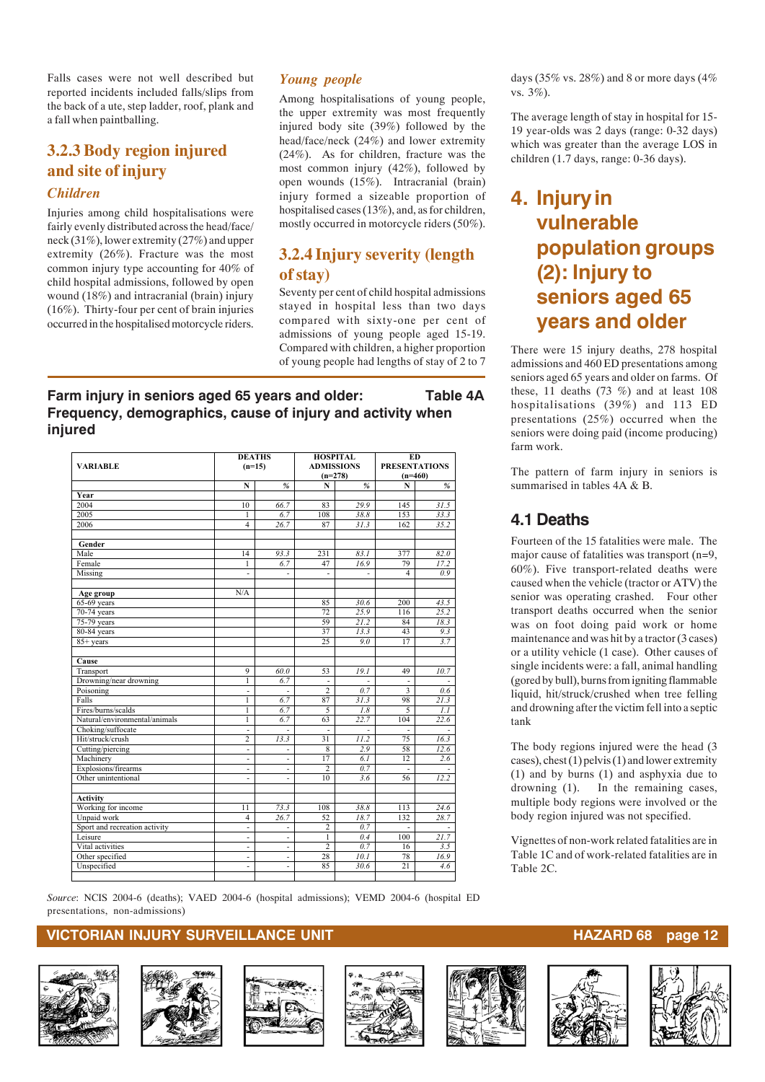Falls cases were not well described but reported incidents included falls/slips from the back of a ute, step ladder, roof, plank and a fall when paintballing.

## **3.2.3 Body region injured and site of injury**

#### *Children*

Injuries among child hospitalisations were fairly evenly distributed across the head/face/ neck (31%), lower extremity (27%) and upper extremity (26%). Fracture was the most common injury type accounting for 40% of child hospital admissions, followed by open wound (18%) and intracranial (brain) injury (16%). Thirty-four per cent of brain injuries occurred in the hospitalised motorcycle riders.

#### *Young people*

Among hospitalisations of young people, the upper extremity was most frequently injured body site (39%) followed by the head/face/neck (24%) and lower extremity (24%). As for children, fracture was the most common injury (42%), followed by open wounds (15%). Intracranial (brain) injury formed a sizeable proportion of hospitalised cases (13%), and, as for children, mostly occurred in motorcycle riders (50%).

#### **3.2.4 Injury severity (length of stay)**

Seventy per cent of child hospital admissions stayed in hospital less than two days compared with sixty-one per cent of admissions of young people aged 15-19. Compared with children, a higher proportion of young people had lengths of stay of 2 to 7

#### **Farm injury in seniors aged 65 years and older: Table 4A Frequency, demographics, cause of injury and activity when injured**

| <b>DEATHS</b>                 |                          | <b>HOSPITAL</b>          |                   | <b>ED</b> |                      |      |
|-------------------------------|--------------------------|--------------------------|-------------------|-----------|----------------------|------|
| <b>VARIABLE</b>               | $(n=15)$                 |                          | <b>ADMISSIONS</b> |           | <b>PRESENTATIONS</b> |      |
|                               |                          |                          | $(n=278)$         |           | $(n=460)$            |      |
|                               | N                        | %                        | N                 | %         | N                    | %    |
| Year                          |                          |                          |                   |           |                      |      |
| 2004                          | 10                       | 66.7                     | 83                | 29.9      | 145                  | 31.5 |
| 2005                          | 1                        | 6.7                      | 108               | 38.8      | 153                  | 33.3 |
| 2006                          | $\overline{\mathbf{4}}$  | 26.7                     | 87                | 31.3      | 162                  | 35.2 |
|                               |                          |                          |                   |           |                      |      |
| Gender                        |                          |                          |                   |           |                      |      |
| Male                          | 14                       | 93.3                     | 231               | 83.1      | 377                  | 82.0 |
| Female                        | 1                        | 6.7                      | 47                | 16.9      | 79                   | 17.2 |
| Missing                       | ٠                        | $\overline{a}$           | $\overline{a}$    |           | $\overline{4}$       | 0.9  |
|                               |                          |                          |                   |           |                      |      |
| Age group                     | N/A                      |                          |                   |           |                      |      |
| $65-69$ years                 |                          |                          | 85                | 30.6      | 200                  | 43.5 |
| 70-74 years                   |                          |                          | 72                | 25.9      | 116                  | 25.2 |
| 75-79 years                   |                          |                          | 59                | 21.2      | 84                   | 18.3 |
| 80-84 years                   |                          |                          | 37                | 13.3      | 43                   | 9.3  |
| $85+$ years                   |                          |                          | 25                | 9.0       | 17                   | 3.7  |
|                               |                          |                          |                   |           |                      |      |
| Cause                         |                          |                          |                   |           |                      |      |
| Transport                     | 9                        | 60.0                     | 53                | 19.1      | 49                   | 10.7 |
| Drowning/near drowning        | 1                        | 6.7                      | $\frac{1}{2}$     |           |                      |      |
| Poisoning                     | ÷,                       | $\overline{a}$           | $\overline{2}$    | 0.7       | 3                    | 0.6  |
| Falls                         | 1                        | 6.7                      | 87                | 31.3      | 98                   | 21.3 |
| Fires/burns/scalds            | 1                        | 6.7                      | 5                 | 1.8       | 5                    | 1.1  |
| Natural/environmental/animals | 1                        | 6.7                      | 63                | 22.7      | 104                  | 22.6 |
| Choking/suffocate             | $\overline{a}$           |                          |                   |           |                      |      |
| Hit/struck/crush              | $\overline{c}$           | 13.3                     | 31                | 11.2      | 75                   | 16.3 |
| Cutting/piercing              | ٠                        | $\overline{a}$           | 8                 | 2.9       | 58                   | 12.6 |
| Machinery                     | ٠                        | $\overline{a}$           | 17                | 6.1       | 12                   | 2.6  |
| Explosions/firearms           |                          |                          | $\overline{c}$    | 0.7       |                      |      |
| Other unintentional           | $\overline{\phantom{a}}$ | $\overline{a}$           | 10                | 3.6       | 56                   | 12.2 |
|                               |                          |                          |                   |           |                      |      |
| <b>Activity</b>               |                          |                          |                   |           |                      |      |
| Working for income            | 11                       | 73.3                     | 108               | 38.8      | 113                  | 24.6 |
| Unpaid work                   | $\overline{4}$           | 26.7                     | 52                | 18.7      | 132                  | 28.7 |
| Sport and recreation activity | ٠                        | $\overline{a}$           | $\sqrt{2}$        | 0.7       | ÷.                   |      |
| Leisure                       | ÷.                       |                          | $\mathbf{1}$      | 0.4       | 100                  | 21.7 |
| Vital activities              | $\overline{\phantom{a}}$ | $\overline{a}$           | $\overline{2}$    | 0.7       | 16                   | 3.5  |
| Other specified               | $\overline{\phantom{a}}$ | $\overline{\phantom{a}}$ | 28                | 10.1      | 78                   | 16.9 |
| Unspecified                   | $\overline{\phantom{a}}$ | $\overline{a}$           | 85                | 30.6      | 21                   | 4.6  |
|                               |                          |                          |                   |           |                      |      |

days (35% vs. 28%) and 8 or more days (4% vs. 3%).

The average length of stay in hospital for 15- 19 year-olds was 2 days (range: 0-32 days) which was greater than the average LOS in children (1.7 days, range: 0-36 days).

## **4. Injury in vulnerable population groups (2): Injury to seniors aged 65 years and older**

There were 15 injury deaths, 278 hospital admissions and 460 ED presentations among seniors aged 65 years and older on farms. Of these, 11 deaths  $(73 \%)$  and at least 108 hospitalisations (39%) and 113 ED presentations (25%) occurred when the seniors were doing paid (income producing) farm work.

The pattern of farm injury in seniors is summarised in tables 4A & B.

### **4.1 Deaths**

Fourteen of the 15 fatalities were male. The major cause of fatalities was transport (n=9, 60%). Five transport-related deaths were caused when the vehicle (tractor or ATV) the senior was operating crashed. Four other transport deaths occurred when the senior was on foot doing paid work or home maintenance and was hit by a tractor (3 cases) or a utility vehicle (1 case). Other causes of single incidents were: a fall, animal handling (gored by bull), burns from igniting flammable liquid, hit/struck/crushed when tree felling and drowning after the victim fell into a septic tank

The body regions injured were the head (3 cases), chest (1) pelvis (1) and lower extremity (1) and by burns (1) and asphyxia due to drowning (1). In the remaining cases, multiple body regions were involved or the body region injured was not specified.

Vignettes of non-work related fatalities are in Table 1C and of work-related fatalities are in Table 2C.

*Source*: NCIS 2004-6 (deaths); VAED 2004-6 (hospital admissions); VEMD 2004-6 (hospital ED presentations, non-admissions)













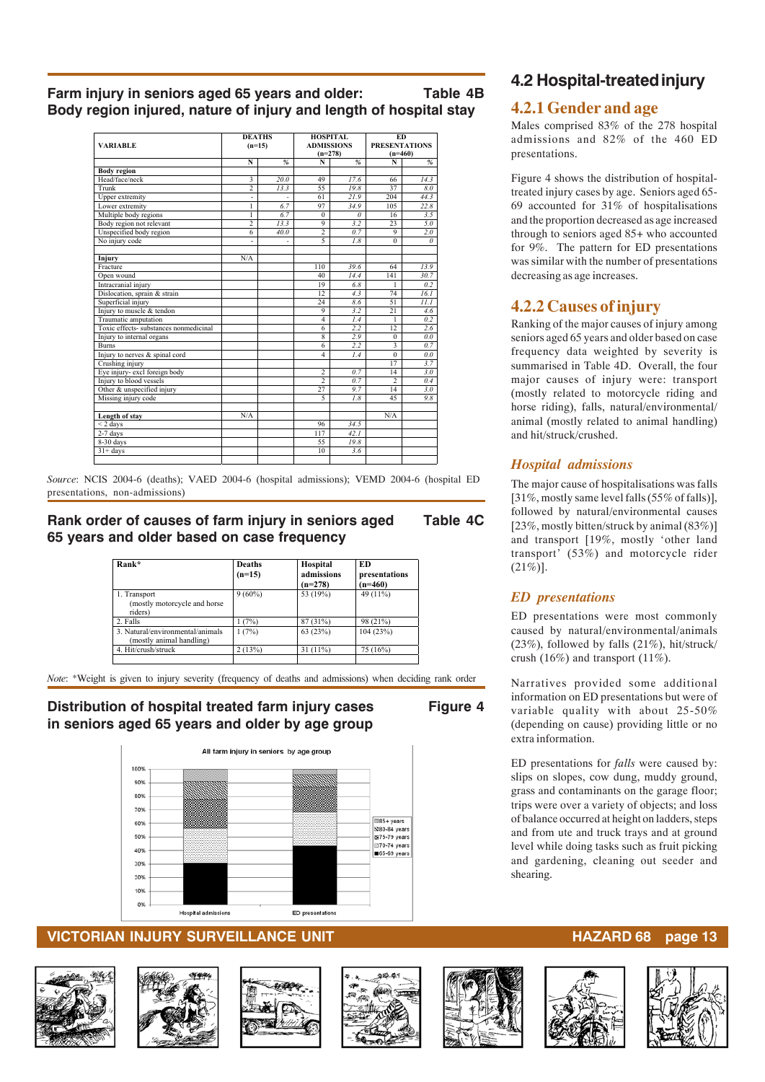**Farm injury in seniors aged 65 years and older: Table 4B Body region injured, nature of injury and length of hospital stay**

| <b>VARIABLE</b>                       | <b>DEATHS</b><br>$(n=15)$ |               | <b>HOSPITAL</b><br><b>ADMISSIONS</b><br>$(n=278)$ |               | ED<br><b>PRESENTATIONS</b><br>$(n=460)$ |               |
|---------------------------------------|---------------------------|---------------|---------------------------------------------------|---------------|-----------------------------------------|---------------|
|                                       | N                         | $\frac{9}{6}$ | N                                                 | $\frac{9}{6}$ | N                                       | $\frac{a}{2}$ |
| <b>Body region</b>                    |                           |               |                                                   |               |                                         |               |
| Head/face/neck                        | $\overline{\mathbf{3}}$   | 20.0          | 49                                                | 17.6          | 66                                      | 14.3          |
| Trunk                                 | $\overline{2}$            | 13.3          | 55                                                | 19.8          | 37                                      | 8.0           |
| Upper extremity                       |                           |               | 61                                                | 21.9          | 204                                     | 44.3          |
| Lower extremity                       | 1                         | 6.7           | 97                                                | 34.9          | 105                                     | 22.8          |
| Multiple body regions                 | 1                         | 6.7           | $\Omega$                                          | $\theta$      | 16                                      | 3.5           |
| Body region not relevant              | $\overline{c}$            | 13.3          | 9                                                 | 3.2           | 23                                      | 5.0           |
| Unspecified body region               | 6                         | 40.0          | $\overline{2}$                                    | 0.7           | 9                                       | 2.0           |
| No injury code                        |                           |               | $\overline{5}$                                    | 1.8           | $\Omega$                                | $\theta$      |
| Injury                                | N/A                       |               |                                                   |               |                                         |               |
| Fracture                              |                           |               | 110                                               | 39.6          | 64                                      | 13.9          |
| Open wound                            |                           |               | 40                                                | 14.4          | 141                                     | 30.7          |
| Intracranial injury                   |                           |               | 19                                                | 6.8           | 1                                       | 0.2           |
| Dislocation, sprain & strain          |                           |               | $12^{12}$                                         | 4.3           | 74                                      | 16.1          |
| Superficial injury                    |                           |               | 24                                                | 8.6           | 51                                      | 11.1          |
| Injury to muscle & tendon             |                           |               | 9                                                 | 3.2           | 21                                      | 4.6           |
| Traumatic amputation                  |                           |               | $\overline{4}$                                    | 1.4           | 1                                       | 0.2           |
| Toxic effects-substances nonmedicinal |                           |               | 6                                                 | 2.2           | 12                                      | 2.6           |
| Injury to internal organs             |                           |               | $\mathbf{g}$                                      | 2.9           | $\theta$                                | 0.0           |
| <b>Burns</b>                          |                           |               | 6                                                 | 2.2           | $\overline{\mathbf{3}}$                 | 0.7           |
| Injury to nerves & spinal cord        |                           |               | $\overline{4}$                                    | 1.4           | $\Omega$                                | 0.0           |
| Crushing injury                       |                           |               |                                                   |               | 17                                      | 3.7           |
| Eye injury-excl foreign body          |                           |               | $\overline{2}$                                    | 0.7           | 14                                      | 3.0           |
| Injury to blood vessels               |                           |               | $\overline{2}$                                    | 0.7           | $\overline{2}$                          | 0.4           |
| Other & unspecified injury            |                           |               | 27                                                | 9.7           | 14                                      | 3.0           |
| Missing injury code                   |                           |               | 5                                                 | 1.8           | 45                                      | 9.8           |
| Length of stay                        | N/A                       |               |                                                   |               | N/A                                     |               |
| $<$ 2 days                            |                           |               | 96                                                | 34.5          |                                         |               |
| $2-7$ days                            |                           |               | 117                                               | 42.1          |                                         |               |
| $8-30$ days                           |                           |               | 55                                                | 19.8          |                                         |               |
| $31 + days$                           |                           |               | 10                                                | 3.6           |                                         |               |
|                                       |                           |               |                                                   |               |                                         |               |
|                                       |                           |               |                                                   |               |                                         |               |

*Source*: NCIS 2004-6 (deaths); VAED 2004-6 (hospital admissions); VEMD 2004-6 (hospital ED presentations, non-admissions)

#### **Rank order of causes of farm injury in seniors aged Table 4C 65 years and older based on case frequency**

| Rank*                                                        | <b>Deaths</b><br>$(n=15)$ | Hospital<br>admissions<br>$(n=278)$ | ED<br>presentations<br>$(n=460)$ |
|--------------------------------------------------------------|---------------------------|-------------------------------------|----------------------------------|
| 1. Transport<br>(mostly motorcycle and horse)<br>riders)     | $9(60\%)$                 | 53 (19%)                            | 49 (11%)                         |
| 2. Falls                                                     | 1(7%)                     | 87 (31%)                            | 98 (21%)                         |
| 3. Natural/environmental/animals<br>(mostly animal handling) | 1(7%)                     | 63(23%)                             | 104 (23%)                        |
| 4. Hit/crush/struck                                          | 2(13%)                    | 31 (11%)                            | 75 (16%)                         |

*Note*: \*Weight is given to injury severity (frequency of deaths and admissions) when deciding rank order

#### **Distribution of hospital treated farm injury cases Figure 4 in seniors aged 65 years and older by age group**



#### **VICTORIAN INJURY SURVEILLANCE UNIT HAZARD 68 page 13**











## **4.2 Hospital-treated injury**

#### **4.2.1 Gender and age**

Males comprised 83% of the 278 hospital admissions and 82% of the 460 ED presentations.

Figure 4 shows the distribution of hospitaltreated injury cases by age. Seniors aged 65- 69 accounted for 31% of hospitalisations and the proportion decreased as age increased through to seniors aged 85+ who accounted for 9%. The pattern for ED presentations was similar with the number of presentations decreasing as age increases.

### **4.2.2 Causes of injury**

Ranking of the major causes of injury among seniors aged 65 years and older based on case frequency data weighted by severity is summarised in Table 4D. Overall, the four major causes of injury were: transport (mostly related to motorcycle riding and horse riding), falls, natural/environmental/ animal (mostly related to animal handling) and hit/struck/crushed.

#### *Hospital admissions*

The major cause of hospitalisations was falls [31%, mostly same level falls (55% of falls)], followed by natural/environmental causes [23%, mostly bitten/struck by animal (83%)] and transport [19%, mostly 'other land transport' (53%) and motorcycle rider  $(21\%)$ ].

#### *ED presentations*

ED presentations were most commonly caused by natural/environmental/animals (23%), followed by falls (21%), hit/struck/ crush (16%) and transport (11%).

Narratives provided some additional information on ED presentations but were of variable quality with about 25-50% (depending on cause) providing little or no extra information.

ED presentations for *falls* were caused by: slips on slopes, cow dung, muddy ground, grass and contaminants on the garage floor; trips were over a variety of objects; and loss of balance occurred at height on ladders, steps and from ute and truck trays and at ground level while doing tasks such as fruit picking and gardening, cleaning out seeder and shearing.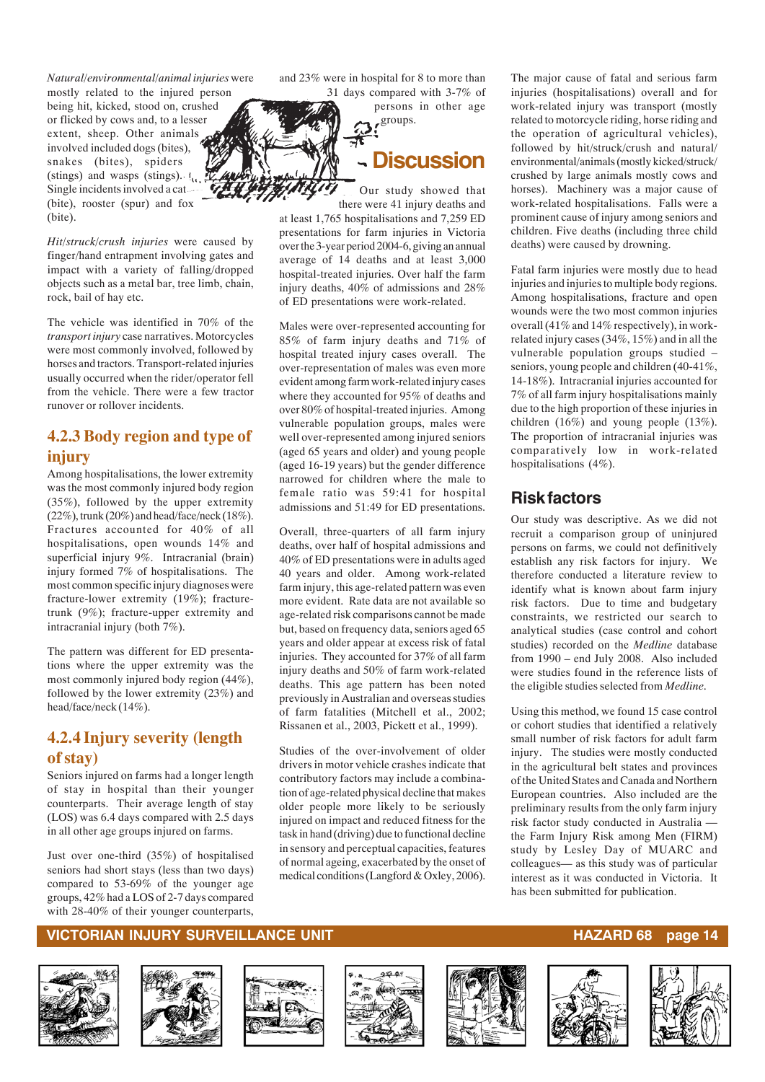*Natural/environmental/animal injuries* were

mostly related to the injured person being hit, kicked, stood on, crushed or flicked by cows and, to a lesser extent, sheep. Other animals involved included dogs (bites), snakes (bites), spiders (stings) and wasps (stings).  $\mathfrak{t}_{\alpha}$ Single incidents involved a cat (bite), rooster (spur) and fox (bite).

*Hit/struck/crush injuries* were caused by finger/hand entrapment involving gates and impact with a variety of falling/dropped objects such as a metal bar, tree limb, chain, rock, bail of hay etc.

The vehicle was identified in 70% of the *transport injury* case narratives. Motorcycles were most commonly involved, followed by horses and tractors. Transport-related injuries usually occurred when the rider/operator fell from the vehicle. There were a few tractor runover or rollover incidents.

### **4.2.3 Body region and type of injury**

Among hospitalisations, the lower extremity was the most commonly injured body region (35%), followed by the upper extremity (22%), trunk (20%) and head/face/neck (18%). Fractures accounted for 40% of all hospitalisations, open wounds 14% and superficial injury 9%. Intracranial (brain) injury formed 7% of hospitalisations. The most common specific injury diagnoses were fracture-lower extremity (19%); fracturetrunk (9%); fracture-upper extremity and intracranial injury (both 7%).

The pattern was different for ED presentations where the upper extremity was the most commonly injured body region (44%), followed by the lower extremity (23%) and head/face/neck (14%).

### **4.2.4 Injury severity (length of stay)**

Seniors injured on farms had a longer length of stay in hospital than their younger counterparts. Their average length of stay (LOS) was 6.4 days compared with 2.5 days in all other age groups injured on farms.

Just over one-third (35%) of hospitalised seniors had short stays (less than two days) compared to 53-69% of the younger age groups, 42% had a LOS of 2-7 days compared with 28-40% of their younger counterparts, and 23% were in hospital for 8 to more than 31 days compared with 3-7% of

> persons in other age groups.

**Discussion**

Our study showed that there were 41 injury deaths and

at least 1,765 hospitalisations and 7,259 ED presentations for farm injuries in Victoria over the 3-year period 2004-6, giving an annual average of 14 deaths and at least 3,000 hospital-treated injuries. Over half the farm injury deaths, 40% of admissions and 28% of ED presentations were work-related.

Males were over-represented accounting for 85% of farm injury deaths and 71% of hospital treated injury cases overall. The over-representation of males was even more evident among farm work-related injury cases where they accounted for 95% of deaths and over 80% of hospital-treated injuries. Among vulnerable population groups, males were well over-represented among injured seniors (aged 65 years and older) and young people (aged 16-19 years) but the gender difference narrowed for children where the male to female ratio was 59:41 for hospital admissions and 51:49 for ED presentations.

Overall, three-quarters of all farm injury deaths, over half of hospital admissions and 40% of ED presentations were in adults aged 40 years and older. Among work-related farm injury, this age-related pattern was even more evident. Rate data are not available so age-related risk comparisons cannot be made but, based on frequency data, seniors aged 65 years and older appear at excess risk of fatal injuries. They accounted for 37% of all farm injury deaths and 50% of farm work-related deaths. This age pattern has been noted previously in Australian and overseas studies of farm fatalities (Mitchell et al., 2002; Rissanen et al., 2003, Pickett et al., 1999).

Studies of the over-involvement of older drivers in motor vehicle crashes indicate that contributory factors may include a combination of age-related physical decline that makes older people more likely to be seriously injured on impact and reduced fitness for the task in hand (driving) due to functional decline in sensory and perceptual capacities, features of normal ageing, exacerbated by the onset of medical conditions (Langford & Oxley, 2006).

The major cause of fatal and serious farm injuries (hospitalisations) overall and for work-related injury was transport (mostly related to motorcycle riding, horse riding and the operation of agricultural vehicles), followed by hit/struck/crush and natural/ environmental/animals (mostly kicked/struck/ crushed by large animals mostly cows and horses). Machinery was a major cause of work-related hospitalisations. Falls were a prominent cause of injury among seniors and children. Five deaths (including three child deaths) were caused by drowning.

Fatal farm injuries were mostly due to head injuries and injuries to multiple body regions. Among hospitalisations, fracture and open wounds were the two most common injuries overall (41% and 14% respectively), in workrelated injury cases (34%, 15%) and in all the vulnerable population groups studied – seniors, young people and children (40-41%, 14-18%). Intracranial injuries accounted for 7% of all farm injury hospitalisations mainly due to the high proportion of these injuries in children (16%) and young people (13%). The proportion of intracranial injuries was comparatively low in work-related hospitalisations (4%).

### **Risk factors**

Our study was descriptive. As we did not recruit a comparison group of uninjured persons on farms, we could not definitively establish any risk factors for injury. We therefore conducted a literature review to identify what is known about farm injury risk factors. Due to time and budgetary constraints, we restricted our search to analytical studies (case control and cohort studies) recorded on the *Medline* database from 1990 – end July 2008. Also included were studies found in the reference lists of the eligible studies selected from *Medline*.

Using this method, we found 15 case control or cohort studies that identified a relatively small number of risk factors for adult farm injury. The studies were mostly conducted in the agricultural belt states and provinces of the United States and Canada and Northern European countries. Also included are the preliminary results from the only farm injury risk factor study conducted in Australia the Farm Injury Risk among Men (FIRM) study by Lesley Day of MUARC and colleagues— as this study was of particular interest as it was conducted in Victoria. It has been submitted for publication.

#### **VICTORIAN INJURY SURVEILLANCE UNIT AND RESEARCH CONFIDENTIAL CONTROL CONTROL CONTROL CONTROL CONTROL CONTROL CONTR**













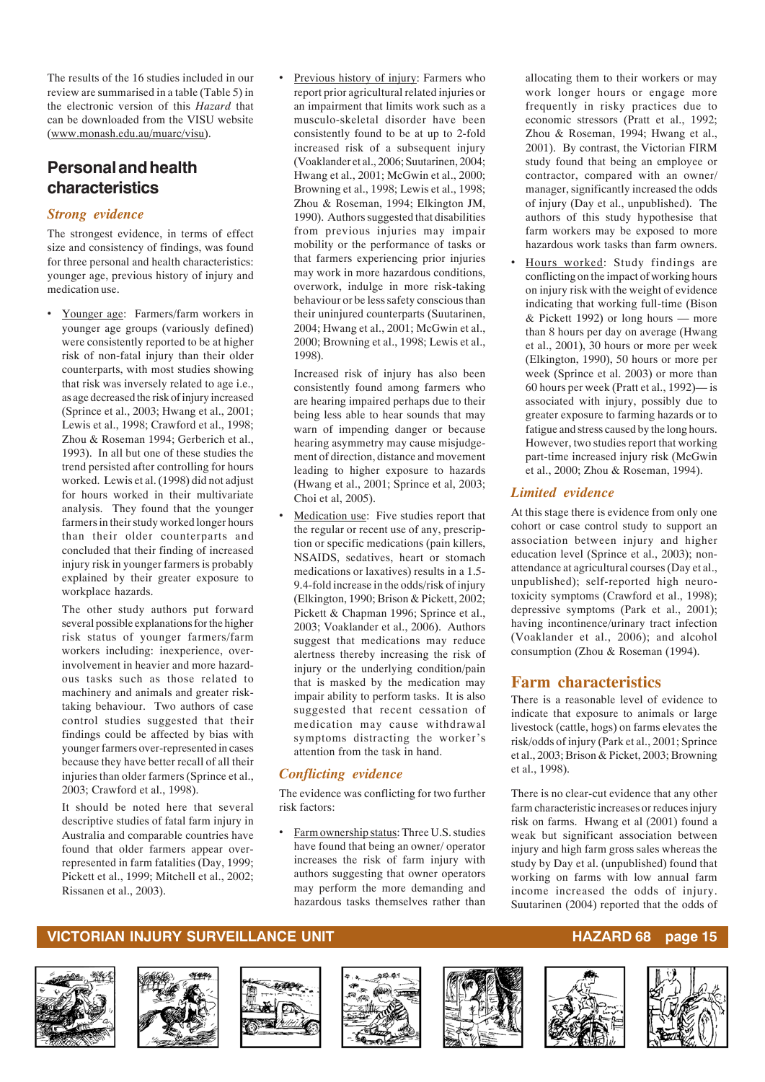The results of the 16 studies included in our review are summarised in a table (Table 5) in the electronic version of this *Hazard* that can be downloaded from the VISU website (www.monash.edu.au/muarc/visu).

## **Personal and health characteristics**

#### *Strong evidence*

The strongest evidence, in terms of effect size and consistency of findings, was found for three personal and health characteristics: younger age, previous history of injury and medication use.

• Younger age: Farmers/farm workers in younger age groups (variously defined) were consistently reported to be at higher risk of non-fatal injury than their older counterparts, with most studies showing that risk was inversely related to age i.e., as age decreased the risk of injury increased (Sprince et al., 2003; Hwang et al., 2001; Lewis et al., 1998; Crawford et al., 1998; Zhou & Roseman 1994; Gerberich et al., 1993). In all but one of these studies the trend persisted after controlling for hours worked. Lewis et al. (1998) did not adjust for hours worked in their multivariate analysis. They found that the younger farmers in their study worked longer hours than their older counterparts and concluded that their finding of increased injury risk in younger farmers is probably explained by their greater exposure to workplace hazards.

The other study authors put forward several possible explanations for the higher risk status of younger farmers/farm workers including: inexperience, overinvolvement in heavier and more hazardous tasks such as those related to machinery and animals and greater risktaking behaviour. Two authors of case control studies suggested that their findings could be affected by bias with younger farmers over-represented in cases because they have better recall of all their injuries than older farmers (Sprince et al., 2003; Crawford et al., 1998).

It should be noted here that several descriptive studies of fatal farm injury in Australia and comparable countries have found that older farmers appear overrepresented in farm fatalities (Day, 1999; Pickett et al., 1999; Mitchell et al., 2002; Rissanen et al., 2003).

Previous history of injury: Farmers who report prior agricultural related injuries or an impairment that limits work such as a musculo-skeletal disorder have been consistently found to be at up to 2-fold increased risk of a subsequent injury (Voaklander et al., 2006; Suutarinen, 2004; Hwang et al., 2001; McGwin et al., 2000; Browning et al., 1998; Lewis et al., 1998; Zhou & Roseman, 1994; Elkington JM, 1990). Authors suggested that disabilities from previous injuries may impair mobility or the performance of tasks or that farmers experiencing prior injuries may work in more hazardous conditions, overwork, indulge in more risk-taking behaviour or be less safety conscious than their uninjured counterparts (Suutarinen, 2004; Hwang et al., 2001; McGwin et al., 2000; Browning et al., 1998; Lewis et al., 1998).

Increased risk of injury has also been consistently found among farmers who are hearing impaired perhaps due to their being less able to hear sounds that may warn of impending danger or because hearing asymmetry may cause misjudgement of direction, distance and movement leading to higher exposure to hazards (Hwang et al., 2001; Sprince et al, 2003; Choi et al, 2005).

Medication use: Five studies report that the regular or recent use of any, prescription or specific medications (pain killers, NSAIDS, sedatives, heart or stomach medications or laxatives) results in a 1.5- 9.4-fold increase in the odds/risk of injury (Elkington, 1990; Brison & Pickett, 2002; Pickett & Chapman 1996; Sprince et al., 2003; Voaklander et al., 2006). Authors suggest that medications may reduce alertness thereby increasing the risk of injury or the underlying condition/pain that is masked by the medication may impair ability to perform tasks. It is also suggested that recent cessation of medication may cause withdrawal symptoms distracting the worker's attention from the task in hand.

#### *Conflicting evidence*

The evidence was conflicting for two further risk factors:

• Farm ownership status: Three U.S. studies have found that being an owner/ operator increases the risk of farm injury with authors suggesting that owner operators may perform the more demanding and hazardous tasks themselves rather than allocating them to their workers or may work longer hours or engage more frequently in risky practices due to economic stressors (Pratt et al., 1992; Zhou & Roseman, 1994; Hwang et al., 2001). By contrast, the Victorian FIRM study found that being an employee or contractor, compared with an owner/ manager, significantly increased the odds of injury (Day et al., unpublished). The authors of this study hypothesise that farm workers may be exposed to more hazardous work tasks than farm owners.

Hours worked: Study findings are conflicting on the impact of working hours on injury risk with the weight of evidence indicating that working full-time (Bison & Pickett 1992) or long hours — more than 8 hours per day on average (Hwang et al., 2001), 30 hours or more per week (Elkington, 1990), 50 hours or more per week (Sprince et al. 2003) or more than 60 hours per week (Pratt et al., 1992)— is associated with injury, possibly due to greater exposure to farming hazards or to fatigue and stress caused by the long hours. However, two studies report that working part-time increased injury risk (McGwin et al., 2000; Zhou & Roseman, 1994).

#### *Limited evidence*

At this stage there is evidence from only one cohort or case control study to support an association between injury and higher education level (Sprince et al., 2003); nonattendance at agricultural courses (Day et al., unpublished); self-reported high neurotoxicity symptoms (Crawford et al., 1998); depressive symptoms (Park et al., 2001); having incontinence/urinary tract infection (Voaklander et al., 2006); and alcohol consumption (Zhou & Roseman (1994).

#### **Farm characteristics**

There is a reasonable level of evidence to indicate that exposure to animals or large livestock (cattle, hogs) on farms elevates the risk/odds of injury (Park et al., 2001; Sprince et al., 2003; Brison & Picket, 2003; Browning et al., 1998).

There is no clear-cut evidence that any other farm characteristic increases or reduces injury risk on farms. Hwang et al (2001) found a weak but significant association between injury and high farm gross sales whereas the study by Day et al. (unpublished) found that working on farms with low annual farm income increased the odds of injury. Suutarinen (2004) reported that the odds of













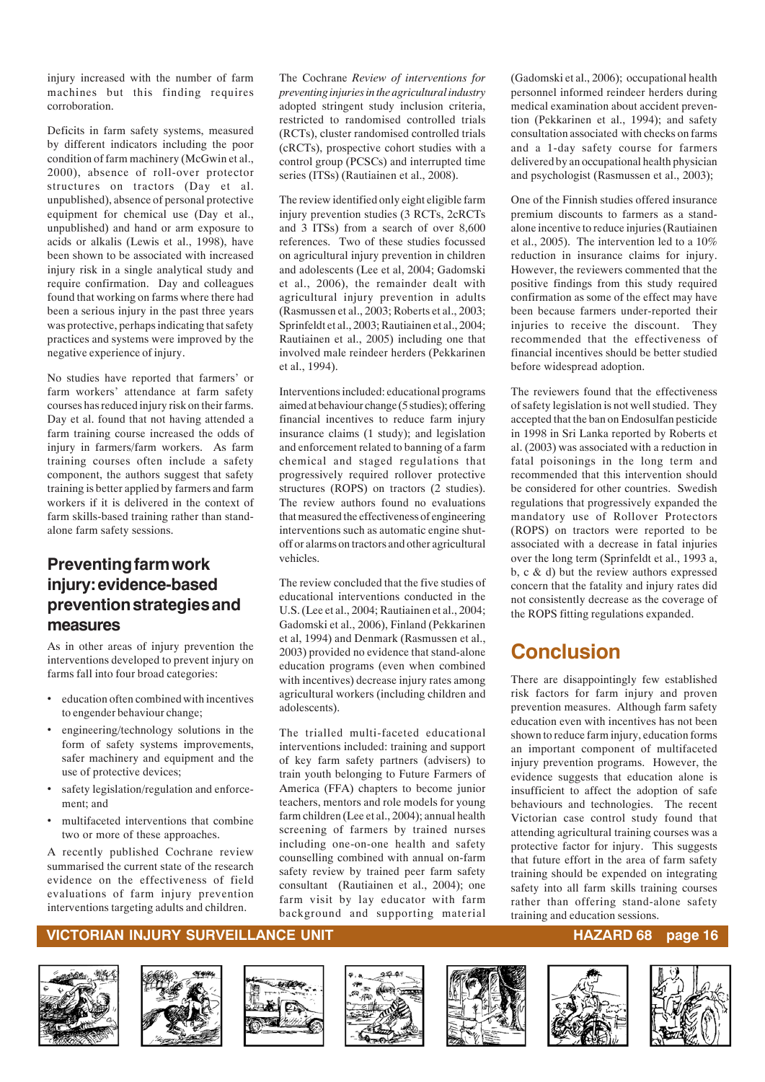injury increased with the number of farm machines but this finding requires corroboration.

Deficits in farm safety systems, measured by different indicators including the poor condition of farm machinery (McGwin et al., 2000), absence of roll-over protector structures on tractors (Day et al. unpublished), absence of personal protective equipment for chemical use (Day et al., unpublished) and hand or arm exposure to acids or alkalis (Lewis et al., 1998), have been shown to be associated with increased injury risk in a single analytical study and require confirmation. Day and colleagues found that working on farms where there had been a serious injury in the past three years was protective, perhaps indicating that safety practices and systems were improved by the negative experience of injury.

No studies have reported that farmers' or farm workers' attendance at farm safety courses has reduced injury risk on their farms. Day et al. found that not having attended a farm training course increased the odds of injury in farmers/farm workers. As farm training courses often include a safety component, the authors suggest that safety training is better applied by farmers and farm workers if it is delivered in the context of farm skills-based training rather than standalone farm safety sessions.

### **Preventing farm work injury: evidence-based prevention strategies and measures**

As in other areas of injury prevention the interventions developed to prevent injury on farms fall into four broad categories:

- education often combined with incentives to engender behaviour change;
- engineering/technology solutions in the form of safety systems improvements, safer machinery and equipment and the use of protective devices;
- safety legislation/regulation and enforcement; and
- multifaceted interventions that combine two or more of these approaches.

A recently published Cochrane review summarised the current state of the research evidence on the effectiveness of field evaluations of farm injury prevention interventions targeting adults and children.

The Cochrane *Review of interventions for preventing injuries in the agricultural industry* adopted stringent study inclusion criteria, restricted to randomised controlled trials (RCTs), cluster randomised controlled trials (cRCTs), prospective cohort studies with a control group (PCSCs) and interrupted time series (ITSs) (Rautiainen et al., 2008).

The review identified only eight eligible farm injury prevention studies (3 RCTs, 2cRCTs and 3 ITSs) from a search of over 8,600 references. Two of these studies focussed on agricultural injury prevention in children and adolescents (Lee et al, 2004; Gadomski et al., 2006), the remainder dealt with agricultural injury prevention in adults (Rasmussen et al., 2003; Roberts et al., 2003; Sprinfeldt et al., 2003; Rautiainen et al., 2004; Rautiainen et al., 2005) including one that involved male reindeer herders (Pekkarinen et al., 1994).

Interventions included: educational programs aimed at behaviour change (5 studies); offering financial incentives to reduce farm injury insurance claims (1 study); and legislation and enforcement related to banning of a farm chemical and staged regulations that progressively required rollover protective structures (ROPS) on tractors (2 studies). The review authors found no evaluations that measured the effectiveness of engineering interventions such as automatic engine shutoff or alarms on tractors and other agricultural vehicles.

The review concluded that the five studies of educational interventions conducted in the U.S. (Lee et al., 2004; Rautiainen et al., 2004; Gadomski et al., 2006), Finland (Pekkarinen et al, 1994) and Denmark (Rasmussen et al., 2003) provided no evidence that stand-alone education programs (even when combined with incentives) decrease injury rates among agricultural workers (including children and adolescents).

The trialled multi-faceted educational interventions included: training and support of key farm safety partners (advisers) to train youth belonging to Future Farmers of America (FFA) chapters to become junior teachers, mentors and role models for young farm children (Lee et al., 2004); annual health screening of farmers by trained nurses including one-on-one health and safety counselling combined with annual on-farm safety review by trained peer farm safety consultant (Rautiainen et al., 2004); one farm visit by lay educator with farm background and supporting material

(Gadomski et al., 2006); occupational health personnel informed reindeer herders during medical examination about accident prevention (Pekkarinen et al., 1994); and safety consultation associated with checks on farms and a 1-day safety course for farmers delivered by an occupational health physician and psychologist (Rasmussen et al., 2003);

One of the Finnish studies offered insurance premium discounts to farmers as a standalone incentive to reduce injuries (Rautiainen et al., 2005). The intervention led to a 10% reduction in insurance claims for injury. However, the reviewers commented that the positive findings from this study required confirmation as some of the effect may have been because farmers under-reported their injuries to receive the discount. They recommended that the effectiveness of financial incentives should be better studied before widespread adoption.

The reviewers found that the effectiveness of safety legislation is not well studied. They accepted that the ban on Endosulfan pesticide in 1998 in Sri Lanka reported by Roberts et al. (2003) was associated with a reduction in fatal poisonings in the long term and recommended that this intervention should be considered for other countries. Swedish regulations that progressively expanded the mandatory use of Rollover Protectors (ROPS) on tractors were reported to be associated with a decrease in fatal injuries over the long term (Sprinfeldt et al., 1993 a, b, c & d) but the review authors expressed concern that the fatality and injury rates did not consistently decrease as the coverage of the ROPS fitting regulations expanded.

## **Conclusion**

There are disappointingly few established risk factors for farm injury and proven prevention measures. Although farm safety education even with incentives has not been shown to reduce farm injury, education forms an important component of multifaceted injury prevention programs. However, the evidence suggests that education alone is insufficient to affect the adoption of safe behaviours and technologies. The recent Victorian case control study found that attending agricultural training courses was a protective factor for injury. This suggests that future effort in the area of farm safety training should be expended on integrating safety into all farm skills training courses rather than offering stand-alone safety training and education sessions.

#### **VICTORIAN INJURY SURVEILLANCE UNIT AND REACT OF A SERVIS SERVIS SERVIS SERVIS SERVIS SERVIS SERVIS SERVIS SERV**













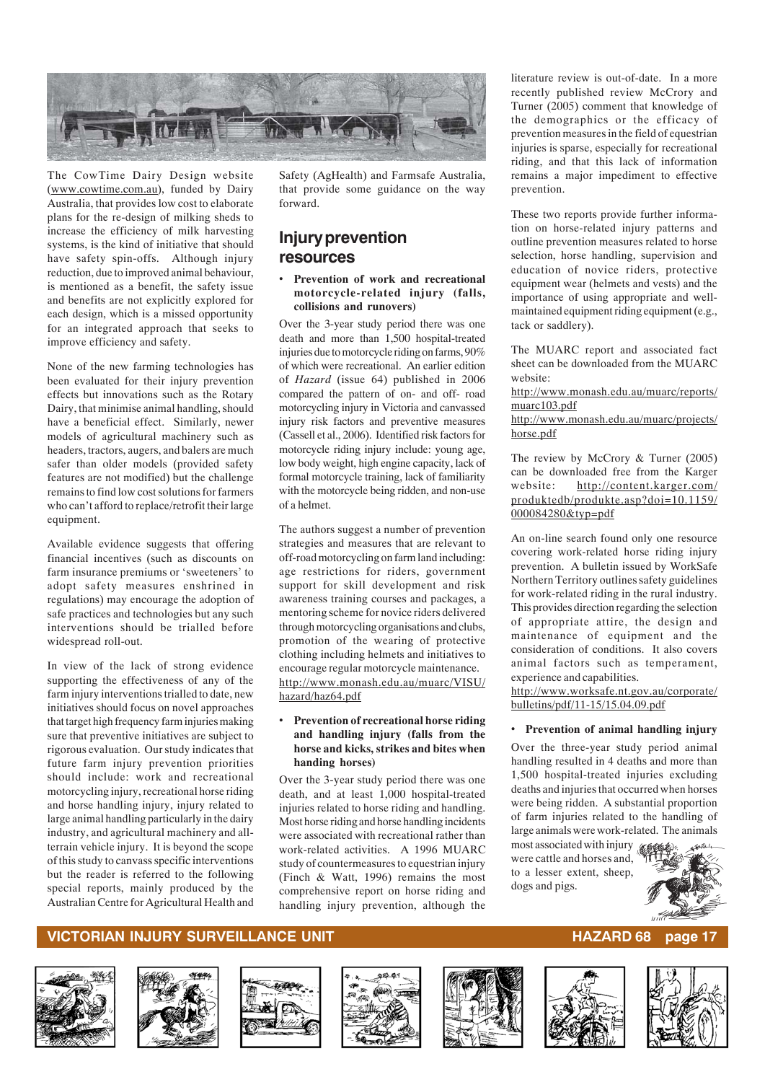

The CowTime Dairy Design website (www.cowtime.com.au), funded by Dairy Australia, that provides low cost to elaborate plans for the re-design of milking sheds to increase the efficiency of milk harvesting systems, is the kind of initiative that should have safety spin-offs. Although injury reduction, due to improved animal behaviour, is mentioned as a benefit, the safety issue and benefits are not explicitly explored for each design, which is a missed opportunity for an integrated approach that seeks to improve efficiency and safety.

None of the new farming technologies has been evaluated for their injury prevention effects but innovations such as the Rotary Dairy, that minimise animal handling, should have a beneficial effect. Similarly, newer models of agricultural machinery such as headers, tractors, augers, and balers are much safer than older models (provided safety features are not modified) but the challenge remains to find low cost solutions for farmers who can't afford to replace/retrofit their large equipment.

Available evidence suggests that offering financial incentives (such as discounts on farm insurance premiums or 'sweeteners' to adopt safety measures enshrined in regulations) may encourage the adoption of safe practices and technologies but any such interventions should be trialled before widespread roll-out.

In view of the lack of strong evidence supporting the effectiveness of any of the farm injury interventions trialled to date, new initiatives should focus on novel approaches that target high frequency farm injuries making sure that preventive initiatives are subject to rigorous evaluation. Our study indicates that future farm injury prevention priorities should include: work and recreational motorcycling injury, recreational horse riding and horse handling injury, injury related to large animal handling particularly in the dairy industry, and agricultural machinery and allterrain vehicle injury. It is beyond the scope of this study to canvass specific interventions but the reader is referred to the following special reports, mainly produced by the Australian Centre for Agricultural Health and

Safety (AgHealth) and Farmsafe Australia, that provide some guidance on the way forward.

### **Injury prevention resources**

#### • **Prevention of work and recreational motorcycle-related injury (falls, collisions and runovers)**

Over the 3-year study period there was one death and more than 1,500 hospital-treated injuries due to motorcycle riding on farms, 90% of which were recreational. An earlier edition of *Hazard* (issue 64) published in 2006 compared the pattern of on- and off- road motorcycling injury in Victoria and canvassed injury risk factors and preventive measures (Cassell et al., 2006). Identified risk factors for motorcycle riding injury include: young age, low body weight, high engine capacity, lack of formal motorcycle training, lack of familiarity with the motorcycle being ridden, and non-use of a helmet.

The authors suggest a number of prevention strategies and measures that are relevant to off-road motorcycling on farm land including: age restrictions for riders, government support for skill development and risk awareness training courses and packages, a mentoring scheme for novice riders delivered through motorcycling organisations and clubs, promotion of the wearing of protective clothing including helmets and initiatives to encourage regular motorcycle maintenance. http://www.monash.edu.au/muarc/VISU/ hazard/haz64.pdf

#### • **Prevention of recreational horse riding and handling injury (falls from the horse and kicks, strikes and bites when handing horses)**

Over the 3-year study period there was one death, and at least 1,000 hospital-treated injuries related to horse riding and handling. Most horse riding and horse handling incidents were associated with recreational rather than work-related activities. A 1996 MUARC study of countermeasures to equestrian injury (Finch & Watt, 1996) remains the most comprehensive report on horse riding and handling injury prevention, although the

literature review is out-of-date. In a more recently published review McCrory and Turner (2005) comment that knowledge of the demographics or the efficacy of prevention measures in the field of equestrian injuries is sparse, especially for recreational riding, and that this lack of information remains a major impediment to effective prevention.

These two reports provide further information on horse-related injury patterns and outline prevention measures related to horse selection, horse handling, supervision and education of novice riders, protective equipment wear (helmets and vests) and the importance of using appropriate and wellmaintained equipment riding equipment (e.g., tack or saddlery).

The MUARC report and associated fact sheet can be downloaded from the MUARC website:

http://www.monash.edu.au/muarc/reports/ muarc103.pdf

http://www.monash.edu.au/muarc/projects/ horse.pdf

The review by McCrory & Turner (2005) can be downloaded free from the Karger website: http://content.karger.com/ produktedb/produkte.asp?doi=10.1159/ 000084280&typ=pdf

An on-line search found only one resource covering work-related horse riding injury prevention. A bulletin issued by WorkSafe Northern Territory outlines safety guidelines for work-related riding in the rural industry. This provides direction regarding the selection of appropriate attire, the design and maintenance of equipment and the consideration of conditions. It also covers animal factors such as temperament, experience and capabilities.

http://www.worksafe.nt.gov.au/corporate/ bulletins/pdf/11-15/15.04.09.pdf

#### • **Prevention of animal handling injury**

Over the three-year study period animal handling resulted in 4 deaths and more than 1,500 hospital-treated injuries excluding deaths and injuries that occurred when horses were being ridden. A substantial proportion of farm injuries related to the handling of large animals were work-related. The animals most associated with injury

were cattle and horses and, to a lesser extent, sheep, dogs and pigs.



#### **VICTORIAN INJURY SURVEILLANCE UNIT AND REACT OF A SERVIS SERVIS SERVIS SERVIS SERVIS SERVIS SERVIS SERVIS SERV**













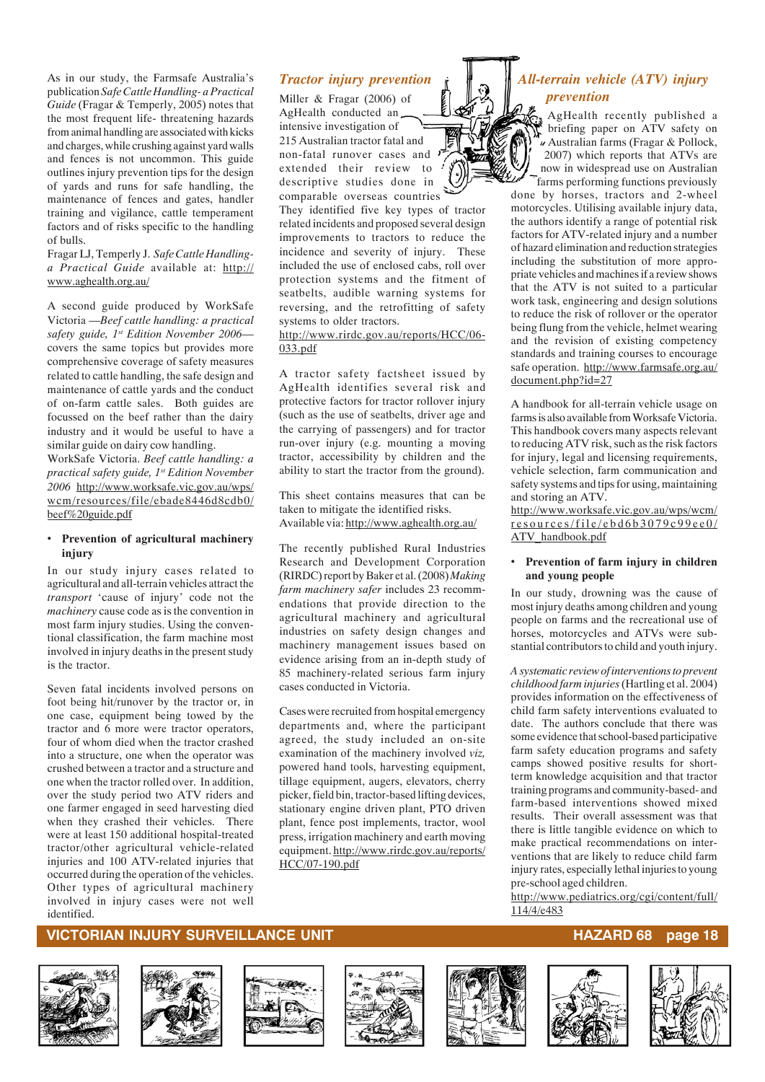As in our study, the Farmsafe Australia's publication *Safe Cattle Handling- a Practical Guide* (Fragar & Temperly, 2005) notes that the most frequent life- threatening hazards from animal handling are associated with kicks and charges, while crushing against yard walls and fences is not uncommon. This guide outlines injury prevention tips for the design of yards and runs for safe handling, the maintenance of fences and gates, handler training and vigilance, cattle temperament factors and of risks specific to the handling of bulls.

#### Fragar LJ, Temperly J. *Safe Cattle Handlinga Practical Guide* available at: http:// www.aghealth.org.au/

A second guide produced by WorkSafe Victoria —*Beef cattle handling: a practical safety guide, 1st Edition November 2006* covers the same topics but provides more comprehensive coverage of safety measures related to cattle handling, the safe design and maintenance of cattle yards and the conduct of on-farm cattle sales. Both guides are focussed on the beef rather than the dairy industry and it would be useful to have a similar guide on dairy cow handling.

WorkSafe Victoria. *Beef cattle handling: a practical safety guide, 1st Edition November 2006* http://www.worksafe.vic.gov.au/wps/ wcm/resources/file/ebade8446d8cdb0/ beef%20guide.pdf

#### • **Prevention of agricultural machinery injury**

In our study injury cases related to agricultural and all-terrain vehicles attract the *transport* 'cause of injury' code not the *machinery* cause code as is the convention in most farm injury studies. Using the conventional classification, the farm machine most involved in injury deaths in the present study is the tractor.

Seven fatal incidents involved persons on foot being hit/runover by the tractor or, in one case, equipment being towed by the tractor and 6 more were tractor operators, four of whom died when the tractor crashed into a structure, one when the operator was crushed between a tractor and a structure and one when the tractor rolled over. In addition, over the study period two ATV riders and one farmer engaged in seed harvesting died when they crashed their vehicles. There were at least 150 additional hospital-treated tractor/other agricultural vehicle-related injuries and 100 ATV-related injuries that occurred during the operation of the vehicles. Other types of agricultural machinery involved in injury cases were not well identified.

#### *Tractor injury prevention*

Miller & Fragar (2006) of AgHealth conducted an intensive investigation of 215 Australian tractor fatal and non-fatal runover cases and extended their review to descriptive studies done in comparable overseas countries

They identified five key types of tractor related incidents and proposed several design improvements to tractors to reduce the incidence and severity of injury. These included the use of enclosed cabs, roll over protection systems and the fitment of seatbelts, audible warning systems for reversing, and the retrofitting of safety systems to older tractors.

#### http://www.rirdc.gov.au/reports/HCC/06- 033.pdf

A tractor safety factsheet issued by AgHealth identifies several risk and protective factors for tractor rollover injury (such as the use of seatbelts, driver age and the carrying of passengers) and for tractor run-over injury (e.g. mounting a moving tractor, accessibility by children and the ability to start the tractor from the ground).

This sheet contains measures that can be taken to mitigate the identified risks. Available via: http://www.aghealth.org.au/

The recently published Rural Industries Research and Development Corporation (RIRDC) report by Baker et al. (2008) *Making farm machinery safer* includes 23 recommendations that provide direction to the agricultural machinery and agricultural industries on safety design changes and machinery management issues based on evidence arising from an in-depth study of 85 machinery-related serious farm injury cases conducted in Victoria.

Cases were recruited from hospital emergency departments and, where the participant agreed, the study included an on-site examination of the machinery involved *viz,* powered hand tools, harvesting equipment, tillage equipment, augers, elevators, cherry picker, field bin, tractor-based lifting devices, stationary engine driven plant, PTO driven plant, fence post implements, tractor, wool press, irrigation machinery and earth moving equipment. http://www.rirdc.gov.au/reports/ HCC/07-190.pdf

## *All-terrain vehicle (ATV) injury prevention*

AgHealth recently published a briefing paper on ATV safety on Australian farms (Fragar & Pollock, 2007) which reports that ATVs are now in widespread use on Australian farms performing functions previously

done by horses, tractors and 2-wheel motorcycles. Utilising available injury data, the authors identify a range of potential risk factors for ATV-related injury and a number of hazard elimination and reduction strategies including the substitution of more appropriate vehicles and machines if a review shows that the ATV is not suited to a particular work task, engineering and design solutions to reduce the risk of rollover or the operator being flung from the vehicle, helmet wearing and the revision of existing competency standards and training courses to encourage safe operation. http://www.farmsafe.org.au/ document.php?id=27

A handbook for all-terrain vehicle usage on farms is also available from Worksafe Victoria. This handbook covers many aspects relevant to reducing ATV risk, such as the risk factors for injury, legal and licensing requirements, vehicle selection, farm communication and safety systems and tips for using, maintaining and storing an ATV.

http://www.worksafe.vic.gov.au/wps/wcm/ resources/file/ebd6b3079c99ee0/ ATV\_handbook.pdf

#### • **Prevention of farm injury in children and young people**

In our study, drowning was the cause of most injury deaths among children and young people on farms and the recreational use of horses, motorcycles and ATVs were substantial contributors to child and youth injury.

*A systematic review of interventions to prevent childhood farm injuries* (Hartling et al. 2004) provides information on the effectiveness of child farm safety interventions evaluated to date. The authors conclude that there was some evidence that school-based participative farm safety education programs and safety camps showed positive results for shortterm knowledge acquisition and that tractor training programs and community-based- and farm-based interventions showed mixed results. Their overall assessment was that there is little tangible evidence on which to make practical recommendations on interventions that are likely to reduce child farm injury rates, especially lethal injuries to young pre-school aged children.

http://www.pediatrics.org/cgi/content/full/ 114/4/e483













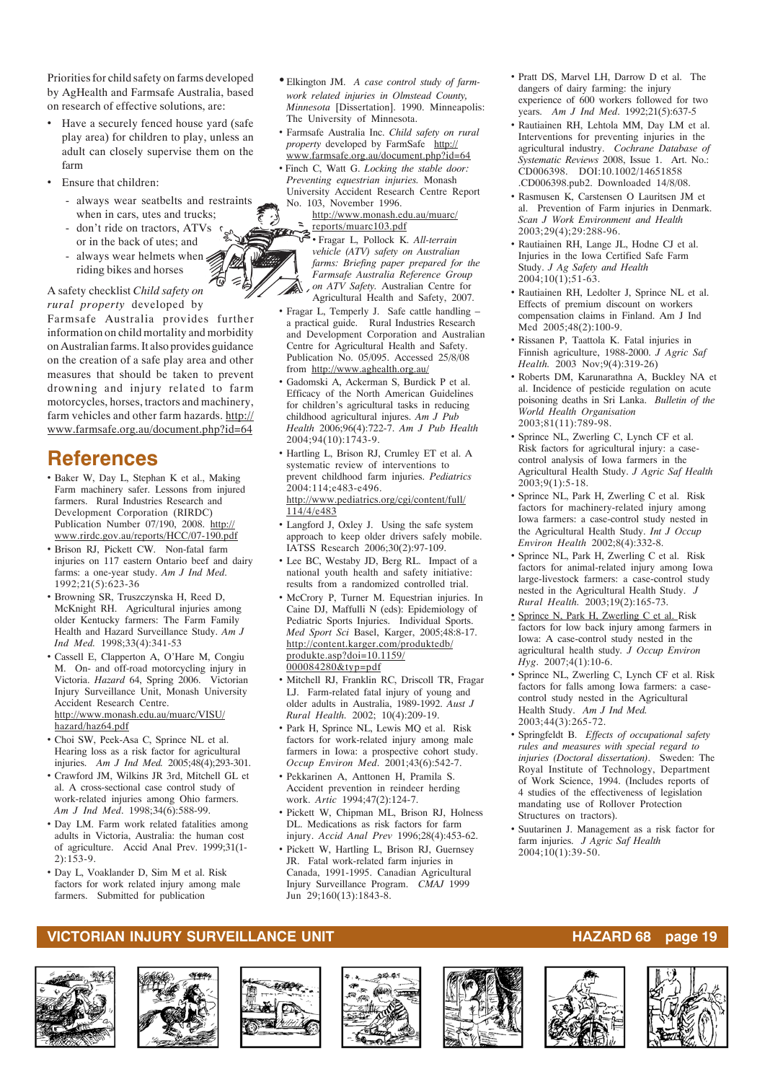Priorities for child safety on farms developed by AgHealth and Farmsafe Australia, based on research of effective solutions, are:

- Have a securely fenced house yard (safe play area) for children to play, unless an adult can closely supervise them on the farm
- Ensure that children:
	- always wear seatbelts and restraints when in cars, utes and trucks;
	- don't ride on tractors, ATVs or in the back of utes; and
	- always wear helmets when  $\leq$ riding bikes and horses

A safety checklist *Child safety on rural property* developed by Farmsafe Australia provides further information on child mortality and morbidity on Australian farms. It also provides guidance on the creation of a safe play area and other measures that should be taken to prevent drowning and injury related to farm motorcycles, horses, tractors and machinery, farm vehicles and other farm hazards. http:// www.farmsafe.org.au/document.php?id=64

## **References**

- Baker W, Day L, Stephan K et al., Making Farm machinery safer. Lessons from injured farmers. Rural Industries Research and Development Corporation (RIRDC) Publication Number 07/190, 2008. http:// www.rirdc.gov.au/reports/HCC/07-190.pdf
- Brison RJ, Pickett CW. Non-fatal farm injuries on 117 eastern Ontario beef and dairy farms: a one-year study. *Am J Ind Med*. 1992;21(5):623-36
- Browning SR, Truszczynska H, Reed D, McKnight RH. Agricultural injuries among older Kentucky farmers: The Farm Family Health and Hazard Surveillance Study. *Am J Ind Med.* 1998;33(4):341-53
- Cassell E, Clapperton A, O'Hare M, Congiu M. On- and off-road motorcycling injury in Victoria. *Hazard* 64, Spring 2006. Victorian Injury Surveillance Unit, Monash University Accident Research Centre. http://www.monash.edu.au/muarc/VISU/ hazard/haz64.pdf
- Choi SW, Peek-Asa C, Sprince NL et al. Hearing loss as a risk factor for agricultural injuries. *Am J Ind Med.* 2005;48(4);293-301.
- Crawford JM, Wilkins JR 3rd, Mitchell GL et al. A cross-sectional case control study of work-related injuries among Ohio farmers. *Am J Ind Med*. 1998;34(6):588-99.
- Day LM. Farm work related fatalities among adults in Victoria, Australia: the human cost of agriculture. Accid Anal Prev. 1999;31(1- 2):153-9.
- Day L, Voaklander D, Sim M et al. Risk factors for work related injury among male farmers. Submitted for publication
- Elkington JM. *A case control study of farmwork related injuries in Olmstead County, Minnesota* [Dissertation]. 1990. Minneapolis: The University of Minnesota.
- Farmsafe Australia Inc. *Child safety on rural property* developed by FarmSafe http:// www.farmsafe.org.au/document.php?id=64
- Finch C, Watt G. *Locking the stable door: Preventing equestrian injuries.* Monash University Accident Research Centre Report No. 103, November 1996.
	- http://www.monash.edu.au/muarc/ reports/muarc103.pdf

 $\ddot{\mathcal{L}}$ 

• Fragar L, Pollock K. *All-terrain vehicle (ATV) safety on Australian farms: Briefing paper prepared for the Farmsafe Australia Reference Group on ATV Safety.* Australian Centre for

- Agricultural Health and Safety, 2007. • Fragar L, Temperly J. Safe cattle handling – a practical guide. Rural Industries Research and Development Corporation and Australian Centre for Agricultural Health and Safety. Publication No. 05/095. Accessed 25/8/08 from http://www.aghealth.org.au/
- Gadomski A, Ackerman S, Burdick P et al. Efficacy of the North American Guidelines for children's agricultural tasks in reducing childhood agricultural injures. *Am J Pub Health* 2006;96(4):722-7. *Am J Pub Health* 2004;94(10):1743-9.
- Hartling L, Brison RJ, Crumley ET et al. A systematic review of interventions to prevent childhood farm injuries. *Pediatrics* 2004:114;e483-e496. http://www.pediatrics.org/cgi/content/full/

114/4/e483 • Langford J, Oxley J. Using the safe system approach to keep older drivers safely mobile. IATSS Research 2006;30(2):97-109.

- Lee BC, Westaby JD, Berg RL. Impact of a national youth health and safety initiative: results from a randomized controlled trial.
- McCrory P, Turner M. Equestrian injuries. In Caine DJ, Maffulli N (eds): Epidemiology of Pediatric Sports Injuries. Individual Sports. *Med Sport Sci* Basel, Karger, 2005;48:8-17. http://content.karger.com/produktedb/ produkte.asp?doi=10.1159/ 000084280&typ=pdf
- Mitchell RJ, Franklin RC, Driscoll TR, Fragar LJ. Farm-related fatal injury of young and older adults in Australia, 1989-1992. *Aust J Rural Health.* 2002; 10(4):209-19.
- Park H, Sprince NL, Lewis MQ et al. Risk factors for work-related injury among male farmers in Iowa: a prospective cohort study. *Occup Environ Med*. 2001;43(6):542-7.
- Pekkarinen A, Anttonen H, Pramila S. Accident prevention in reindeer herding work. *Artic* 1994;47(2):124-7.
- Pickett W, Chipman ML, Brison RJ, Holness DL. Medications as risk factors for farm injury. *Accid Anal Prev* 1996;28(4):453-62.
- Pickett W, Hartling L, Brison RJ, Guernsey JR. Fatal work-related farm injuries in Canada, 1991-1995. Canadian Agricultural Injury Surveillance Program. *CMAJ* 1999 Jun 29;160(13):1843-8.
- Pratt DS, Marvel LH, Darrow D et al. The dangers of dairy farming: the injury experience of 600 workers followed for two years. *Am J Ind Med*. 1992;21(5):637-5
- Rautiainen RH, Lehtola MM, Day LM et al. Interventions for preventing injuries in the agricultural industry. *Cochrane Database of Systematic Reviews* 2008, Issue 1. Art. No.: CD006398. DOI:10.1002/14651858 .CD006398.pub2. Downloaded 14/8/08.
- Rasmusen K, Carstensen O Lauritsen JM et al. Prevention of Farm injuries in Denmark. *Scan J Work Environment and Health* 2003;29(4);29:288-96.
- Rautiainen RH, Lange JL, Hodne CJ et al. Injuries in the Iowa Certified Safe Farm Study. *J Ag Safety and Health* 2004;10(1);51-63.
- Rautiainen RH, Ledolter J, Sprince NL et al. Effects of premium discount on workers compensation claims in Finland. Am J Ind Med 2005;48(2):100-9.
- Rissanen P, Taattola K. Fatal injuries in Finnish agriculture, 1988-2000. *J Agric Saf Health.* 2003 Nov;9(4):319-26)
- Roberts DM, Karunarathna A, Buckley NA et al. Incidence of pesticide regulation on acute poisoning deaths in Sri Lanka. *Bulletin of the World Health Organisation* 2003;81(11):789-98.
- Sprince NL, Zwerling C, Lynch CF et al. Risk factors for agricultural injury: a casecontrol analysis of Iowa farmers in the Agricultural Health Study. *J Agric Saf Health*  $2003;9(1):5-18.$
- Sprince NL, Park H, Zwerling C et al. Risk factors for machinery-related injury among Iowa farmers: a case-control study nested in the Agricultural Health Study. *Int J Occup Environ Health* 2002;8(4):332-8.
- Sprince NL, Park H, Zwerling C et al. Risk factors for animal-related injury among Iowa large-livestock farmers: a case-control study nested in the Agricultural Health Study. *J Rural Health.* 2003;19(2):165-73.
- Sprince N, Park H, Zwerling C et al. Risk factors for low back injury among farmers in Iowa: A case-control study nested in the agricultural health study*. J Occup Environ Hyg*. 2007;4(1):10-6.
- Sprince NL, Zwerling C, Lynch CF et al. Risk factors for falls among Iowa farmers: a casecontrol study nested in the Agricultural Health Study. *Am J Ind Med.* 2003;44(3):265-72.
- Springfeldt B. *Effects of occupational safety rules and measures with special regard to injuries (Doctoral dissertation)*. Sweden: The Royal Institute of Technology, Department of Work Science, 1994. (Includes reports of 4 studies of the effectiveness of legislation mandating use of Rollover Protection Structures on tractors).
- Suutarinen J. Management as a risk factor for farm injuries. *J Agric Saf Health*  $2004;10(1):39-50.$

#### **VICTORIAN INJURY SURVEILLANCE UNIT AND RESERVE THE RESERVE THAZARD 68 page 19**













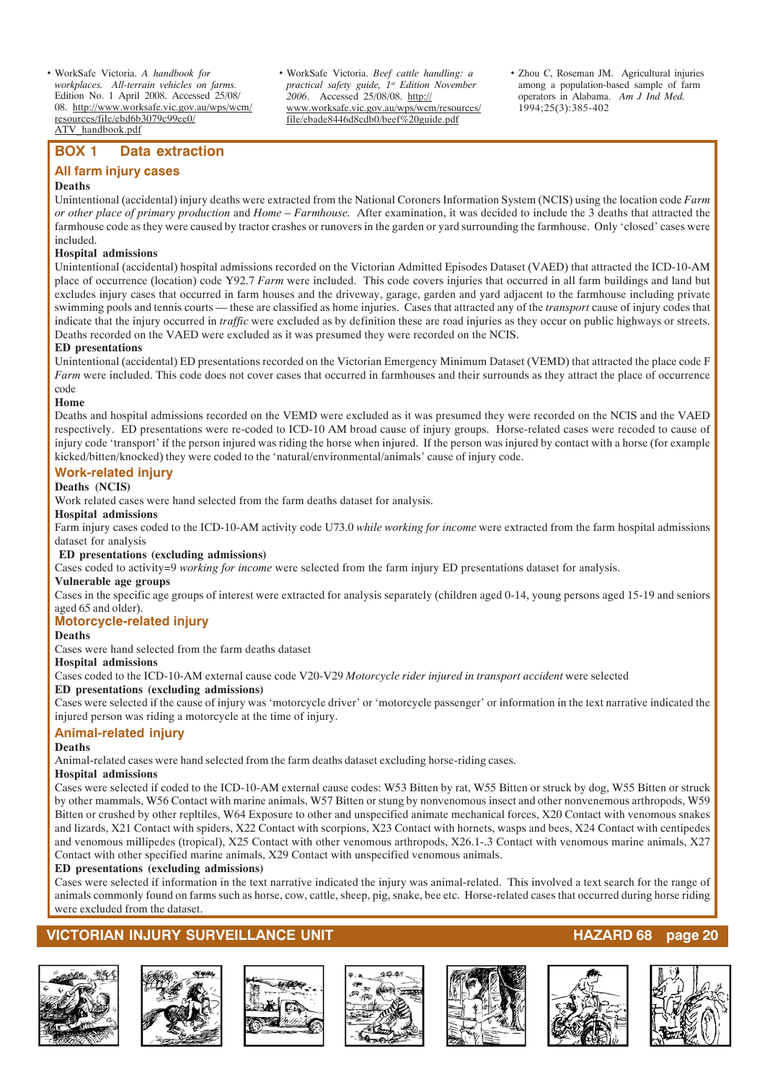• WorkSafe Victoria. *A handbook for workplaces. All-terrain vehicles on farms.* Edition No. 1 April 2008. Accessed 25/08/ 08. http://www.worksafe.vic.gov.au/wps/wcm/ resources/file/ebd6b3079c99ee0/ ATV\_handbook.pdf

#### **BOX 1 Data extraction**

#### **All farm injury cases**

#### **Deaths**

Unintentional (accidental) injury deaths were extracted from the National Coroners Information System (NCIS) using the location code *Farm or other place of primary production* and *Home – Farmhouse.* After examination, it was decided to include the 3 deaths that attracted the farmhouse code as they were caused by tractor crashes or runovers in the garden or yard surrounding the farmhouse. Only 'closed' cases were included.

• WorkSafe Victoria. *Beef cattle handling: a practical safety guide, 1st Edition November 2006*. Accessed 25/08/08. http://

www.worksafe.vic.gov.au/wps/wcm/resources/ file/ebade8446d8cdb0/beef%20guide.pdf

#### **Hospital admissions**

Unintentional (accidental) hospital admissions recorded on the Victorian Admitted Episodes Dataset (VAED) that attracted the ICD-10-AM place of occurrence (location) code Y92.7 *Farm* were included. This code covers injuries that occurred in all farm buildings and land but excludes injury cases that occurred in farm houses and the driveway, garage, garden and yard adjacent to the farmhouse including private swimming pools and tennis courts — these are classified as home injuries. Cases that attracted any of the *transport* cause of injury codes that indicate that the injury occurred in *traffic* were excluded as by definition these are road injuries as they occur on public highways or streets. Deaths recorded on the VAED were excluded as it was presumed they were recorded on the NCIS.

#### **ED presentations**

Unintentional (accidental) ED presentations recorded on the Victorian Emergency Minimum Dataset (VEMD) that attracted the place code F *Farm* were included. This code does not cover cases that occurred in farmhouses and their surrounds as they attract the place of occurrence code

#### **Home**

Deaths and hospital admissions recorded on the VEMD were excluded as it was presumed they were recorded on the NCIS and the VAED respectively. ED presentations were re-coded to ICD-10 AM broad cause of injury groups. Horse-related cases were recoded to cause of injury code 'transport' if the person injured was riding the horse when injured. If the person was injured by contact with a horse (for example kicked/bitten/knocked) they were coded to the 'natural/environmental/animals' cause of injury code.

#### **Work-related injury**

#### **Deaths (NCIS)**

Work related cases were hand selected from the farm deaths dataset for analysis.

#### **Hospital admissions**

Farm injury cases coded to the ICD-10-AM activity code U73.0 *while working for income* were extracted from the farm hospital admissions dataset for analysis

#### **ED presentations (excluding admissions)**

Cases coded to activity=9 *working for income* were selected from the farm injury ED presentations dataset for analysis.

#### **Vulnerable age groups**

Cases in the specific age groups of interest were extracted for analysis separately (children aged 0-14, young persons aged 15-19 and seniors aged 65 and older).

#### **Motorcycle-related injury**

#### **Deaths**

Cases were hand selected from the farm deaths dataset

#### **Hospital admissions**

Cases coded to the ICD-10-AM external cause code V20-V29 *Motorcycle rider injured in transport accident* were selected

#### **ED presentations (excluding admissions)**

Cases were selected if the cause of injury was 'motorcycle driver' or 'motorcycle passenger' or information in the text narrative indicated the injured person was riding a motorcycle at the time of injury.

#### **Animal-related injury**

#### **Deaths**

Animal-related cases were hand selected from the farm deaths dataset excluding horse-riding cases.

#### **Hospital admissions**

Cases were selected if coded to the ICD-10-AM external cause codes: W53 Bitten by rat, W55 Bitten or struck by dog, W55 Bitten or struck by other mammals, W56 Contact with marine animals, W57 Bitten or stung by nonvenomous insect and other nonvenemous arthropods, W59 Bitten or crushed by other repltiles, W64 Exposure to other and unspecified animate mechanical forces, X20 Contact with venomous snakes and lizards, X21 Contact with spiders, X22 Contact with scorpions, X23 Contact with hornets, wasps and bees, X24 Contact with centipedes and venomous millipedes (tropical), X25 Contact with other venomous arthropods, X26.1-.3 Contact with venomous marine animals, X27 Contact with other specified marine animals, X29 Contact with unspecified venomous animals.

#### **ED presentations (excluding admissions)**

Cases were selected if information in the text narrative indicated the injury was animal-related. This involved a text search for the range of animals commonly found on farms such as horse, cow, cattle, sheep, pig, snake, bee etc. Horse-related cases that occurred during horse riding were excluded from the dataset.

#### **VICTORIAN INJURY SURVEILLANCE UNIT AND REALLY CONFIDENT ASSESSMENT OF A SET OF A SURVEILLANCE UNIT**













• Zhou C, Roseman JM. Agricultural injuries among a population-based sample of farm operators in Alabama. *Am J Ind Med.*

1994;25(3):385-402

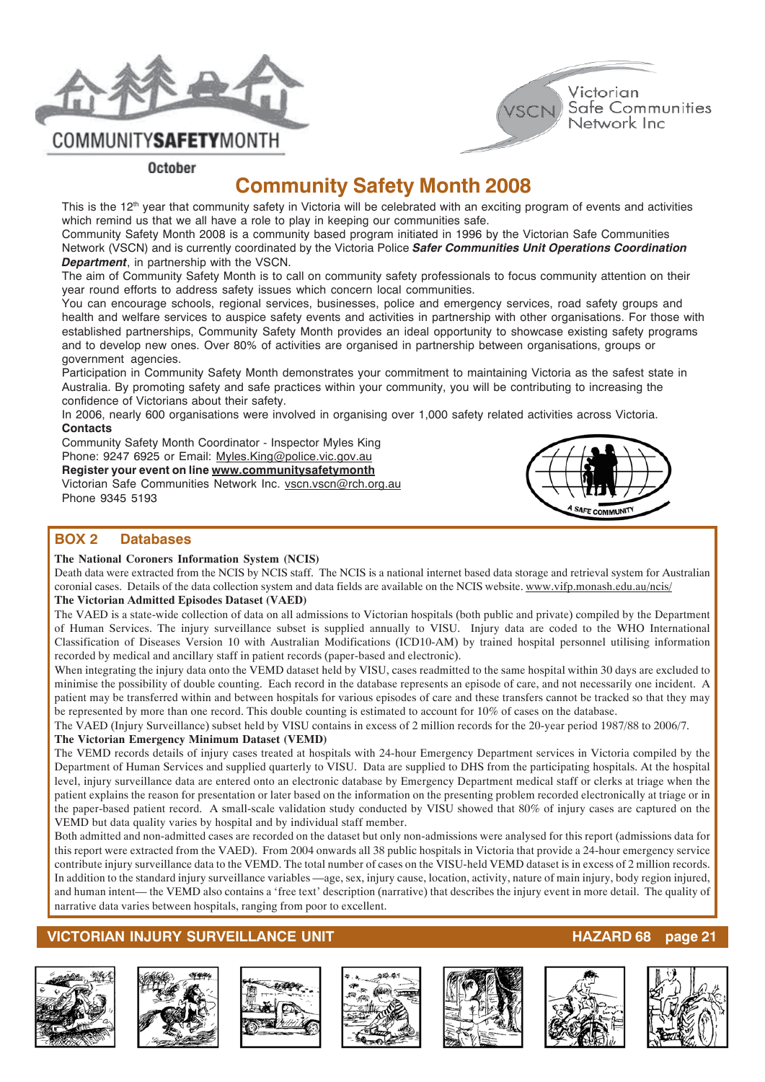



**COMMUNITYSAFETYMONTH** 

October

## **Community Safety Month 2008**

This is the 12<sup>th</sup> year that community safety in Victoria will be celebrated with an exciting program of events and activities which remind us that we all have a role to play in keeping our communities safe.

Community Safety Month 2008 is a community based program initiated in 1996 by the Victorian Safe Communities Network (VSCN) and is currently coordinated by the Victoria Police *Safer Communities Unit Operations Coordination Department*, in partnership with the VSCN.

The aim of Community Safety Month is to call on community safety professionals to focus community attention on their year round efforts to address safety issues which concern local communities.

You can encourage schools, regional services, businesses, police and emergency services, road safety groups and health and welfare services to auspice safety events and activities in partnership with other organisations. For those with established partnerships, Community Safety Month provides an ideal opportunity to showcase existing safety programs and to develop new ones. Over 80% of activities are organised in partnership between organisations, groups or government agencies.

Participation in Community Safety Month demonstrates your commitment to maintaining Victoria as the safest state in Australia. By promoting safety and safe practices within your community, you will be contributing to increasing the confidence of Victorians about their safety.

In 2006, nearly 600 organisations were involved in organising over 1,000 safety related activities across Victoria. **Contacts**

Community Safety Month Coordinator - Inspector Myles King Phone: 9247 6925 or Email: Myles.King@police.vic.gov.au **Register your event on line www.communitysafetymonth** Victorian Safe Communities Network Inc. vscn.vscn@rch.org.au Phone 9345 5193



#### **BOX 2 Databases**

#### **The National Coroners Information System (NCIS)**

Death data were extracted from the NCIS by NCIS staff. The NCIS is a national internet based data storage and retrieval system for Australian coronial cases. Details of the data collection system and data fields are available on the NCIS website. www.vifp.monash.edu.au/ncis/ **The Victorian Admitted Episodes Dataset (VAED)**

The VAED is a state-wide collection of data on all admissions to Victorian hospitals (both public and private) compiled by the Department of Human Services. The injury surveillance subset is supplied annually to VISU. Injury data are coded to the WHO International Classification of Diseases Version 10 with Australian Modifications (ICD10-AM) by trained hospital personnel utilising information recorded by medical and ancillary staff in patient records (paper-based and electronic).

When integrating the injury data onto the VEMD dataset held by VISU, cases readmitted to the same hospital within 30 days are excluded to minimise the possibility of double counting. Each record in the database represents an episode of care, and not necessarily one incident. A patient may be transferred within and between hospitals for various episodes of care and these transfers cannot be tracked so that they may be represented by more than one record. This double counting is estimated to account for 10% of cases on the database.

The VAED (Injury Surveillance) subset held by VISU contains in excess of 2 million records for the 20-year period 1987/88 to 2006/7.

#### **The Victorian Emergency Minimum Dataset (VEMD)**

The VEMD records details of injury cases treated at hospitals with 24-hour Emergency Department services in Victoria compiled by the Department of Human Services and supplied quarterly to VISU. Data are supplied to DHS from the participating hospitals. At the hospital level, injury surveillance data are entered onto an electronic database by Emergency Department medical staff or clerks at triage when the patient explains the reason for presentation or later based on the information on the presenting problem recorded electronically at triage or in the paper-based patient record. A small-scale validation study conducted by VISU showed that 80% of injury cases are captured on the VEMD but data quality varies by hospital and by individual staff member.

Both admitted and non-admitted cases are recorded on the dataset but only non-admissions were analysed for this report (admissions data for this report were extracted from the VAED). From 2004 onwards all 38 public hospitals in Victoria that provide a 24-hour emergency service contribute injury surveillance data to the VEMD. The total number of cases on the VISU-held VEMD dataset is in excess of 2 million records. In addition to the standard injury surveillance variables —age, sex, injury cause, location, activity, nature of main injury, body region injured, and human intent— the VEMD also contains a 'free text' description (narrative) that describes the injury event in more detail. The quality of narrative data varies between hospitals, ranging from poor to excellent.













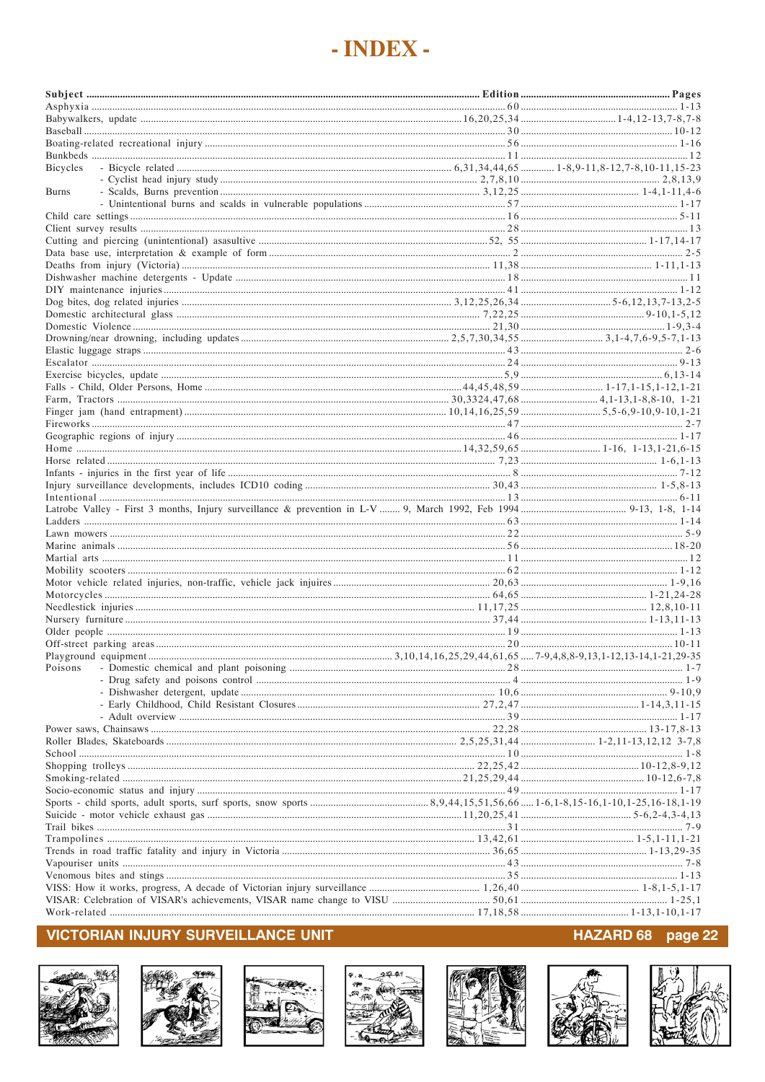## - INDEX -

| Bicycles     |  |
|--------------|--|
|              |  |
| <b>Burns</b> |  |
|              |  |
|              |  |
|              |  |
|              |  |
|              |  |
|              |  |
|              |  |
|              |  |
|              |  |
|              |  |
|              |  |
|              |  |
|              |  |
|              |  |
|              |  |
|              |  |
|              |  |
|              |  |
|              |  |
|              |  |
|              |  |
|              |  |
|              |  |
|              |  |
|              |  |
|              |  |
|              |  |
|              |  |
|              |  |
|              |  |
|              |  |
|              |  |
|              |  |
|              |  |
|              |  |
|              |  |
|              |  |
|              |  |
| Poisons      |  |
|              |  |
|              |  |
|              |  |
|              |  |
|              |  |
|              |  |
|              |  |
|              |  |
|              |  |
|              |  |
|              |  |
|              |  |
|              |  |
|              |  |
|              |  |
|              |  |
|              |  |
|              |  |
|              |  |
|              |  |
|              |  |

### **VICTORIAN INJURY SURVEILLANCE UNIT**















#### HAZARD 68 page 22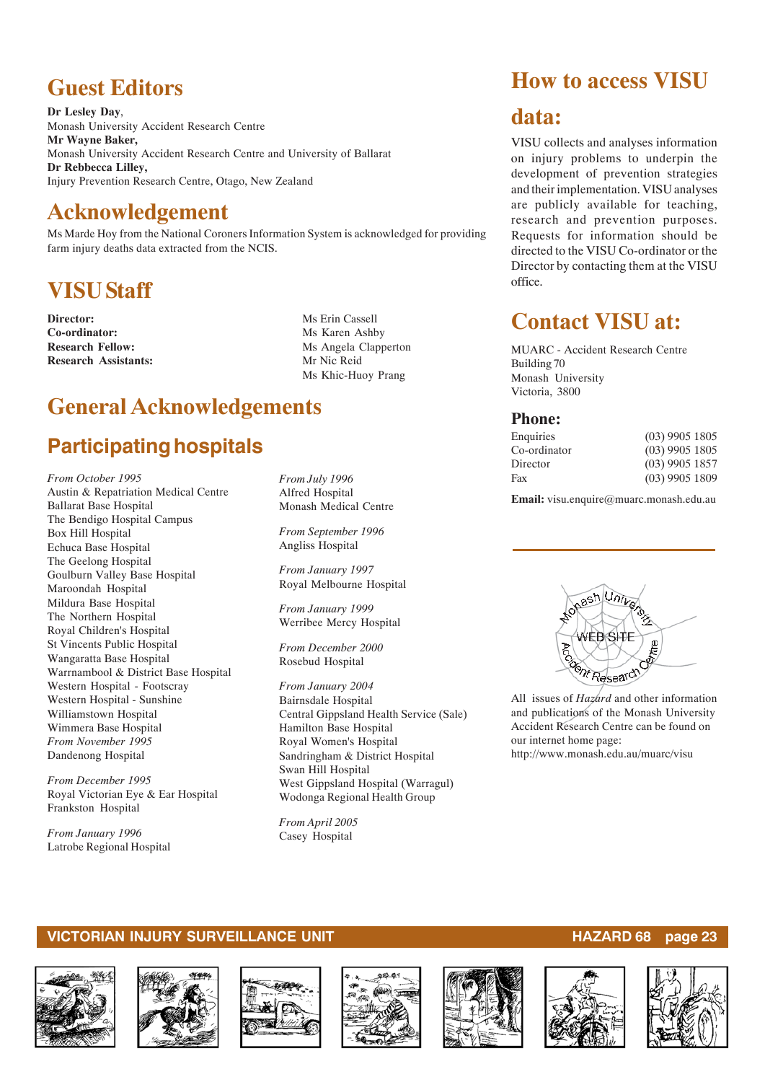## **Guest Editors**

**Dr Lesley Day**, Monash University Accident Research Centre **Mr Wayne Baker,** Monash University Accident Research Centre and University of Ballarat **Dr Rebbecca Lilley,** Injury Prevention Research Centre, Otago, New Zealand

## **Acknowledgement**

Ms Marde Hoy from the National Coroners Information System is acknowledged for providing farm injury deaths data extracted from the NCIS.

## **VISU Staff**

**Director:** Ms Erin Cassell **Co-ordinator:** Ms Karen Ashby<br> **Research Fellow:** Ms Angela Claps **Research Assistants:** Mr Nic Reid

**Ms Angela Clapperton** Ms Khic-Huoy Prang

## **General Acknowledgements**

## **Participating hospitals**

*From October 1995* Austin & Repatriation Medical Centre Ballarat Base Hospital The Bendigo Hospital Campus Box Hill Hospital Echuca Base Hospital The Geelong Hospital Goulburn Valley Base Hospital Maroondah Hospital Mildura Base Hospital The Northern Hospital Royal Children's Hospital St Vincents Public Hospital Wangaratta Base Hospital Warrnambool & District Base Hospital Western Hospital - Footscray Western Hospital - Sunshine Williamstown Hospital Wimmera Base Hospital *From November 1995* Dandenong Hospital

*From December 1995* Royal Victorian Eye & Ear Hospital Frankston Hospital

*From January 1996* Latrobe Regional Hospital *From July 1996* Alfred Hospital Monash Medical Centre

*From September 1996* Angliss Hospital

*From January 1997* Royal Melbourne Hospital

*From January 1999* Werribee Mercy Hospital

*From December 2000* Rosebud Hospital

*From January 2004* Bairnsdale Hospital Central Gippsland Health Service (Sale) Hamilton Base Hospital Royal Women's Hospital Sandringham & District Hospital Swan Hill Hospital West Gippsland Hospital (Warragul) Wodonga Regional Health Group

*From April 2005* Casey Hospital

## **How to access VISU**

## **data:**

VISU collects and analyses information on injury problems to underpin the development of prevention strategies and their implementation. VISU analyses are publicly available for teaching, research and prevention purposes. Requests for information should be directed to the VISU Co-ordinator or the Director by contacting them at the VISU office.

## **Contact VISU at:**

MUARC - Accident Research Centre Building 70 Monash University Victoria, 3800

### **Phone:**

| $(03)$ 9905 1805 |
|------------------|
| $(03)$ 9905 1805 |
| $(03)$ 9905 1857 |
| $(03)$ 9905 1809 |
|                  |

**Email:** visu.enquire@muarc.monash.edu.au



All issues of *Hazard* and other information and publications of the Monash University Accident Research Centre can be found on our internet home page: http://www.monash.edu.au/muarc/visu